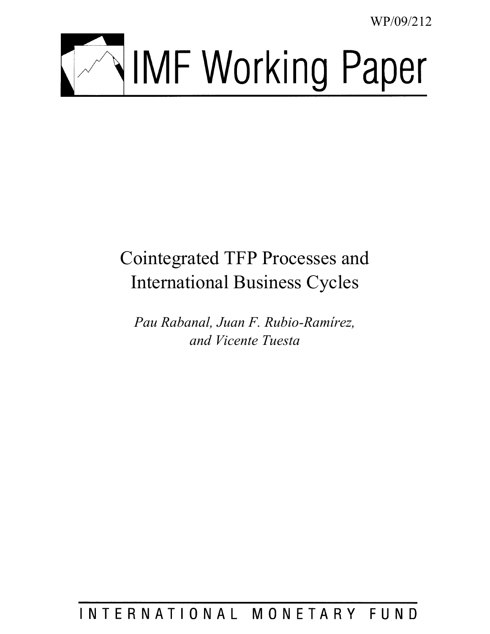WP/09/212



# Cointegrated TFP Processes and International Business Cycles

*Pau Rabanal, Juan F. Rubio-Ramírez, and Vicente Tuesta* 

INTERNATIONAL MONETARY FUND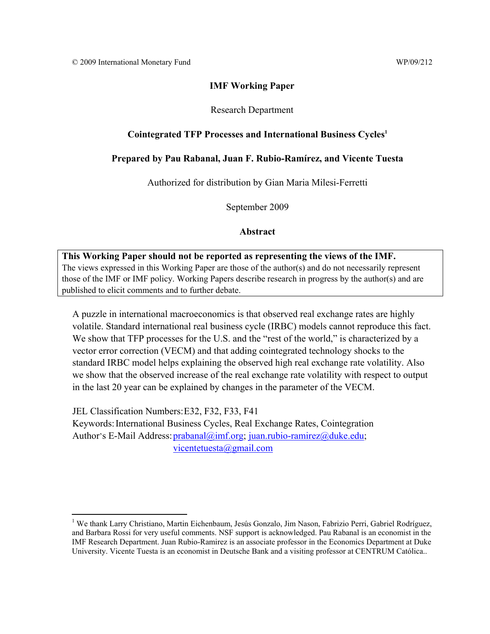# **IMF Working Paper**

# Research Department

# **Cointegrated TFP Processes and International Business Cycles1**

# **Prepared by Pau Rabanal, Juan F. Rubio-Ramírez, and Vicente Tuesta**

Authorized for distribution by Gian Maria Milesi-Ferretti

September 2009

# **Abstract**

**This Working Paper should not be reported as representing the views of the IMF.** The views expressed in this Working Paper are those of the author(s) and do not necessarily represent those of the IMF or IMF policy. Working Papers describe research in progress by the author(s) and are published to elicit comments and to further debate.

A puzzle in international macroeconomics is that observed real exchange rates are highly volatile. Standard international real business cycle (IRBC) models cannot reproduce this fact. We show that TFP processes for the U.S. and the "rest of the world," is characterized by a vector error correction (VECM) and that adding cointegrated technology shocks to the standard IRBC model helps explaining the observed high real exchange rate volatility. Also we show that the observed increase of the real exchange rate volatility with respect to output in the last 20 year can be explained by changes in the parameter of the VECM.

JEL Classification Numbers: E32, F32, F33, F41 Keywords: International Business Cycles, Real Exchange Rates, Cointegration Author's E-Mail Address: prabanal@imf.org; juan.rubio-ramirez@duke.edu; vicentetuesta@gmail.com

 $\overline{a}$ <sup>1</sup> We thank Larry Christiano, Martin Eichenbaum, Jesús Gonzalo, Jim Nason, Fabrizio Perri, Gabriel Rodríguez, and Barbara Rossi for very useful comments. NSF support is acknowledged. Pau Rabanal is an economist in the IMF Research Department. Juan Rubio-Ramirez is an associate professor in the Economics Department at Duke University. Vicente Tuesta is an economist in Deutsche Bank and a visiting professor at CENTRUM Católica..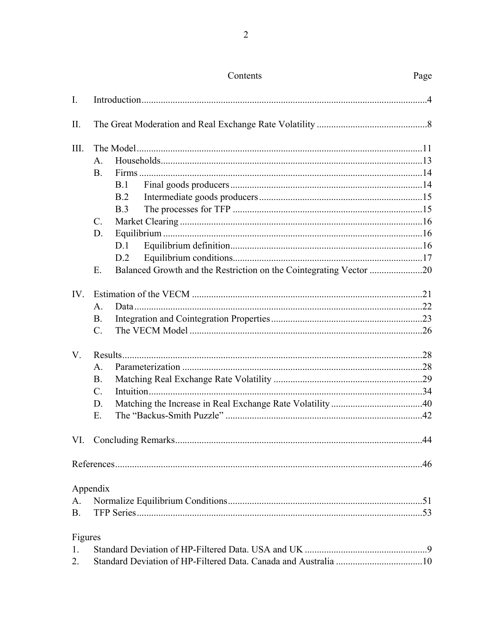|             |                 | Contents                                                           | Page |
|-------------|-----------------|--------------------------------------------------------------------|------|
| I.          |                 |                                                                    |      |
| II.         |                 |                                                                    |      |
| III.        |                 |                                                                    |      |
|             | $A_{\cdot}$     |                                                                    |      |
|             | <b>B.</b>       |                                                                    |      |
|             | <b>B.1</b>      |                                                                    |      |
|             | B.2             |                                                                    |      |
|             | <b>B.3</b>      |                                                                    |      |
|             | $\mathcal{C}$ . |                                                                    |      |
|             | D.              |                                                                    |      |
|             | D.1             |                                                                    |      |
|             | D.2             |                                                                    |      |
|             | Ε.              | Balanced Growth and the Restriction on the Cointegrating Vector 20 |      |
| IV.         |                 |                                                                    |      |
|             | A.              |                                                                    |      |
|             | <b>B.</b>       |                                                                    |      |
|             | $\mathcal{C}$ . |                                                                    |      |
| $V_{\cdot}$ |                 |                                                                    |      |
|             | A.              |                                                                    |      |
|             | <b>B.</b>       |                                                                    |      |
|             | $\mathcal{C}$ . |                                                                    |      |
|             | D.              |                                                                    |      |
|             | Ε.              |                                                                    |      |
|             |                 |                                                                    |      |
|             |                 |                                                                    |      |
|             | Appendix        |                                                                    |      |
| A.          |                 |                                                                    |      |
| $B_{-}$     |                 |                                                                    |      |
| Figures     |                 |                                                                    |      |
| $1_{\cdot}$ |                 |                                                                    |      |
| 2.          |                 |                                                                    |      |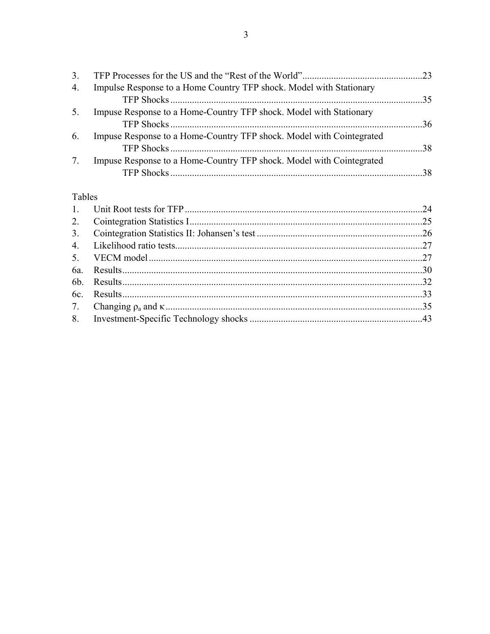| 3. |                                                                      |  |
|----|----------------------------------------------------------------------|--|
| 4. | Impulse Response to a Home Country TFP shock. Model with Stationary  |  |
|    |                                                                      |  |
| 5. | Impuse Response to a Home-Country TFP shock. Model with Stationary   |  |
|    |                                                                      |  |
| 6. | Impuse Response to a Home-Country TFP shock. Model with Cointegrated |  |
|    |                                                                      |  |
| 7. | Impuse Response to a Home-Country TFP shock. Model with Cointegrated |  |
|    |                                                                      |  |

# Tables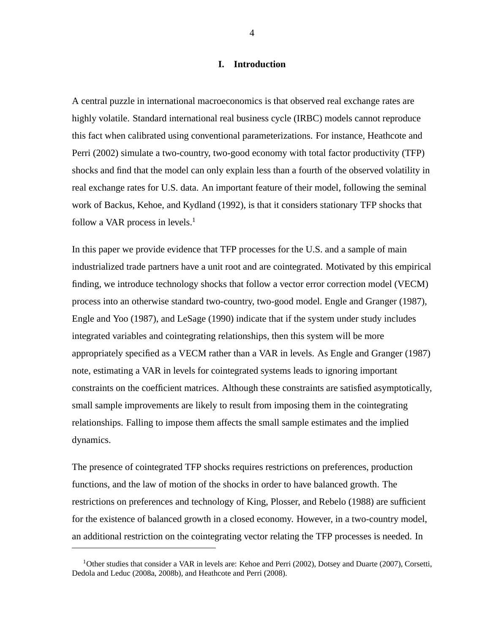# **I. Introduction**

A central puzzle in international macroeconomics is that observed real exchange rates are highly volatile. Standard international real business cycle (IRBC) models cannot reproduce this fact when calibrated using conventional parameterizations. For instance, Heathcote and Perri (2002) simulate a two-country, two-good economy with total factor productivity (TFP) shocks and find that the model can only explain less than a fourth of the observed volatility in real exchange rates for U.S. data. An important feature of their model, following the seminal work of Backus, Kehoe, and Kydland (1992), is that it considers stationary TFP shocks that follow a VAR process in levels. $<sup>1</sup>$ </sup>

In this paper we provide evidence that TFP processes for the U.S. and a sample of main industrialized trade partners have a unit root and are cointegrated. Motivated by this empirical finding, we introduce technology shocks that follow a vector error correction model (VECM) process into an otherwise standard two-country, two-good model. Engle and Granger (1987), Engle and Yoo (1987), and LeSage (1990) indicate that if the system under study includes integrated variables and cointegrating relationships, then this system will be more appropriately specified as a VECM rather than a VAR in levels. As Engle and Granger (1987) note, estimating a VAR in levels for cointegrated systems leads to ignoring important constraints on the coefficient matrices. Although these constraints are satisfied asymptotically, small sample improvements are likely to result from imposing them in the cointegrating relationships. Falling to impose them affects the small sample estimates and the implied dynamics.

The presence of cointegrated TFP shocks requires restrictions on preferences, production functions, and the law of motion of the shocks in order to have balanced growth. The restrictions on preferences and technology of King, Plosser, and Rebelo (1988) are sufficient for the existence of balanced growth in a closed economy. However, in a two-country model, an additional restriction on the cointegrating vector relating the TFP processes is needed. In

<sup>&</sup>lt;sup>1</sup>Other studies that consider a VAR in levels are: Kehoe and Perri (2002), Dotsey and Duarte (2007), Corsetti, Dedola and Leduc (2008a, 2008b), and Heathcote and Perri (2008).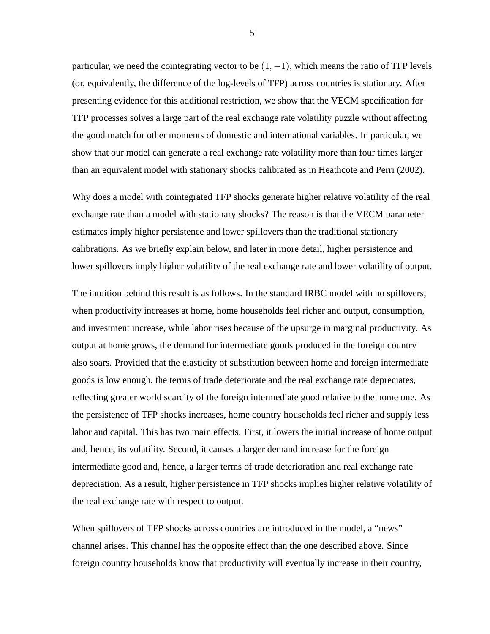particular, we need the cointegrating vector to be  $(1, -1)$ , which means the ratio of TFP levels (or, equivalently, the difference of the log-levels of TFP) across countries is stationary. After presenting evidence for this additional restriction, we show that the VECM specification for TFP processes solves a large part of the real exchange rate volatility puzzle without affecting the good match for other moments of domestic and international variables. In particular, we show that our model can generate a real exchange rate volatility more than four times larger than an equivalent model with stationary shocks calibrated as in Heathcote and Perri (2002).

Why does a model with cointegrated TFP shocks generate higher relative volatility of the real exchange rate than a model with stationary shocks? The reason is that the VECM parameter estimates imply higher persistence and lower spillovers than the traditional stationary calibrations. As we briefly explain below, and later in more detail, higher persistence and lower spillovers imply higher volatility of the real exchange rate and lower volatility of output.

The intuition behind this result is as follows. In the standard IRBC model with no spillovers, when productivity increases at home, home households feel richer and output, consumption, and investment increase, while labor rises because of the upsurge in marginal productivity. As output at home grows, the demand for intermediate goods produced in the foreign country also soars. Provided that the elasticity of substitution between home and foreign intermediate goods is low enough, the terms of trade deteriorate and the real exchange rate depreciates, reflecting greater world scarcity of the foreign intermediate good relative to the home one. As the persistence of TFP shocks increases, home country households feel richer and supply less labor and capital. This has two main effects. First, it lowers the initial increase of home output and, hence, its volatility. Second, it causes a larger demand increase for the foreign intermediate good and, hence, a larger terms of trade deterioration and real exchange rate depreciation. As a result, higher persistence in TFP shocks implies higher relative volatility of the real exchange rate with respect to output.

When spillovers of TFP shocks across countries are introduced in the model, a "news" channel arises. This channel has the opposite effect than the one described above. Since foreign country households know that productivity will eventually increase in their country,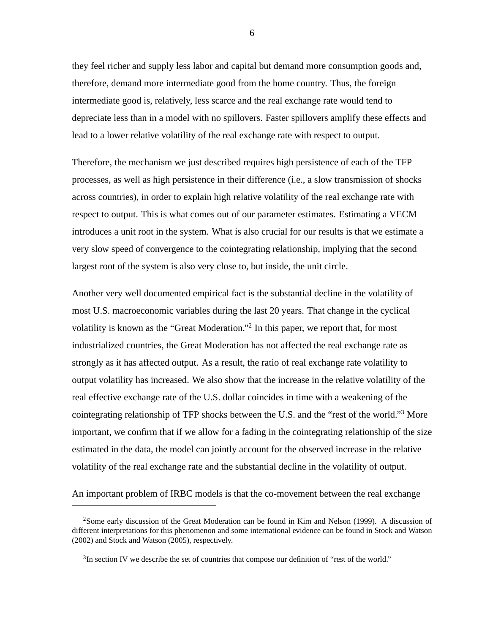they feel richer and supply less labor and capital but demand more consumption goods and, therefore, demand more intermediate good from the home country. Thus, the foreign intermediate good is, relatively, less scarce and the real exchange rate would tend to depreciate less than in a model with no spillovers. Faster spillovers amplify these effects and lead to a lower relative volatility of the real exchange rate with respect to output.

Therefore, the mechanism we just described requires high persistence of each of the TFP processes, as well as high persistence in their difference (i.e., a slow transmission of shocks across countries), in order to explain high relative volatility of the real exchange rate with respect to output. This is what comes out of our parameter estimates. Estimating a VECM introduces a unit root in the system. What is also crucial for our results is that we estimate a very slow speed of convergence to the cointegrating relationship, implying that the second largest root of the system is also very close to, but inside, the unit circle.

Another very well documented empirical fact is the substantial decline in the volatility of most U.S. macroeconomic variables during the last 20 years. That change in the cyclical volatility is known as the "Great Moderation."<sup>2</sup> In this paper, we report that, for most industrialized countries, the Great Moderation has not affected the real exchange rate as strongly as it has affected output. As a result, the ratio of real exchange rate volatility to output volatility has increased. We also show that the increase in the relative volatility of the real effective exchange rate of the U.S. dollar coincides in time with a weakening of the cointegrating relationship of TFP shocks between the U.S. and the "rest of the world."<sup>3</sup> More important, we confirm that if we allow for a fading in the cointegrating relationship of the size estimated in the data, the model can jointly account for the observed increase in the relative volatility of the real exchange rate and the substantial decline in the volatility of output.

An important problem of IRBC models is that the co-movement between the real exchange

<sup>2</sup>Some early discussion of the Great Moderation can be found in Kim and Nelson (1999). A discussion of different interpretations for this phenomenon and some international evidence can be found in Stock and Watson (2002) and Stock and Watson (2005), respectively.

<sup>&</sup>lt;sup>3</sup>In section IV we describe the set of countries that compose our definition of "rest of the world."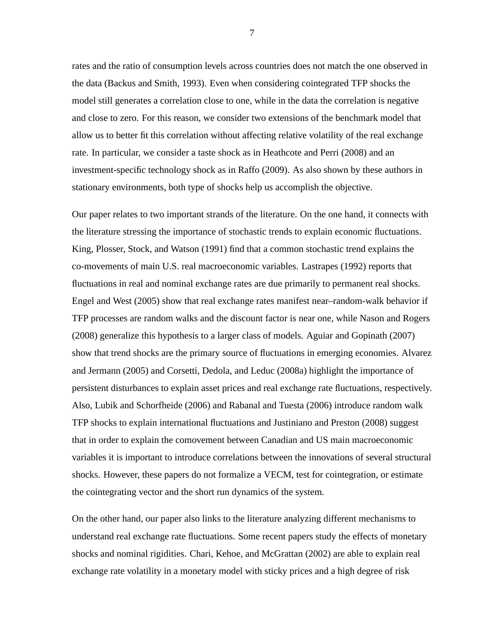rates and the ratio of consumption levels across countries does not match the one observed in the data (Backus and Smith, 1993). Even when considering cointegrated TFP shocks the model still generates a correlation close to one, while in the data the correlation is negative and close to zero. For this reason, we consider two extensions of the benchmark model that allow us to better fit this correlation without affecting relative volatility of the real exchange rate. In particular, we consider a taste shock as in Heathcote and Perri (2008) and an investment-specific technology shock as in Raffo (2009). As also shown by these authors in stationary environments, both type of shocks help us accomplish the objective.

Our paper relates to two important strands of the literature. On the one hand, it connects with the literature stressing the importance of stochastic trends to explain economic fluctuations. King, Plosser, Stock, and Watson (1991) find that a common stochastic trend explains the co-movements of main U.S. real macroeconomic variables. Lastrapes (1992) reports that fluctuations in real and nominal exchange rates are due primarily to permanent real shocks. Engel and West (2005) show that real exchange rates manifest near–random-walk behavior if TFP processes are random walks and the discount factor is near one, while Nason and Rogers (2008) generalize this hypothesis to a larger class of models. Aguiar and Gopinath (2007) show that trend shocks are the primary source of fluctuations in emerging economies. Alvarez and Jermann (2005) and Corsetti, Dedola, and Leduc (2008a) highlight the importance of persistent disturbances to explain asset prices and real exchange rate fluctuations, respectively. Also, Lubik and Schorfheide (2006) and Rabanal and Tuesta (2006) introduce random walk TFP shocks to explain international fluctuations and Justiniano and Preston (2008) suggest that in order to explain the comovement between Canadian and US main macroeconomic variables it is important to introduce correlations between the innovations of several structural shocks. However, these papers do not formalize a VECM, test for cointegration, or estimate the cointegrating vector and the short run dynamics of the system.

On the other hand, our paper also links to the literature analyzing different mechanisms to understand real exchange rate fluctuations. Some recent papers study the effects of monetary shocks and nominal rigidities. Chari, Kehoe, and McGrattan (2002) are able to explain real exchange rate volatility in a monetary model with sticky prices and a high degree of risk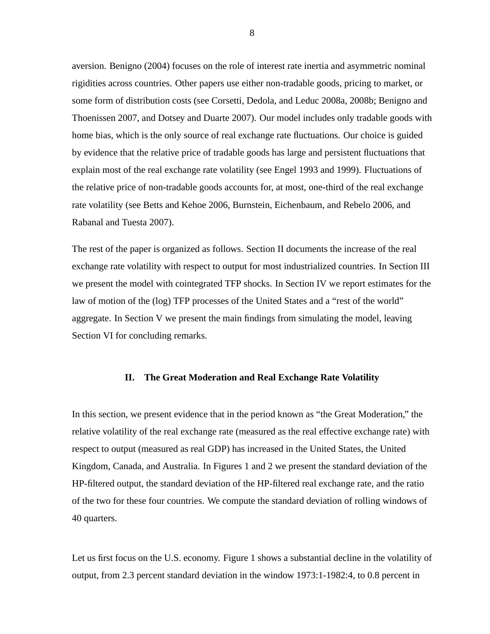aversion. Benigno (2004) focuses on the role of interest rate inertia and asymmetric nominal rigidities across countries. Other papers use either non-tradable goods, pricing to market, or some form of distribution costs (see Corsetti, Dedola, and Leduc 2008a, 2008b; Benigno and Thoenissen 2007, and Dotsey and Duarte 2007). Our model includes only tradable goods with home bias, which is the only source of real exchange rate fluctuations. Our choice is guided by evidence that the relative price of tradable goods has large and persistent fluctuations that explain most of the real exchange rate volatility (see Engel 1993 and 1999). Fluctuations of the relative price of non-tradable goods accounts for, at most, one-third of the real exchange rate volatility (see Betts and Kehoe 2006, Burnstein, Eichenbaum, and Rebelo 2006, and Rabanal and Tuesta 2007).

The rest of the paper is organized as follows. Section II documents the increase of the real exchange rate volatility with respect to output for most industrialized countries. In Section III we present the model with cointegrated TFP shocks. In Section IV we report estimates for the law of motion of the (log) TFP processes of the United States and a "rest of the world" aggregate. In Section V we present the main findings from simulating the model, leaving Section VI for concluding remarks.

#### **II. The Great Moderation and Real Exchange Rate Volatility**

In this section, we present evidence that in the period known as "the Great Moderation," the relative volatility of the real exchange rate (measured as the real effective exchange rate) with respect to output (measured as real GDP) has increased in the United States, the United Kingdom, Canada, and Australia. In Figures 1 and 2 we present the standard deviation of the HP-filtered output, the standard deviation of the HP-filtered real exchange rate, and the ratio of the two for these four countries. We compute the standard deviation of rolling windows of 40 quarters.

Let us first focus on the U.S. economy. Figure 1 shows a substantial decline in the volatility of output, from 2.3 percent standard deviation in the window 1973:1-1982:4, to 0.8 percent in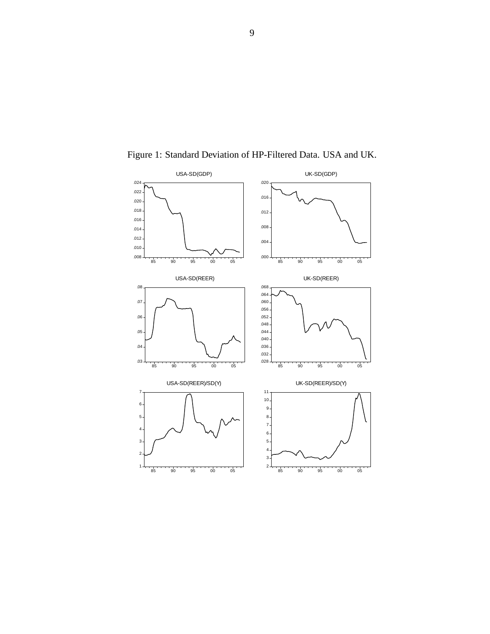

Figure 1: Standard Deviation of HP-Filtered Data. USA and UK.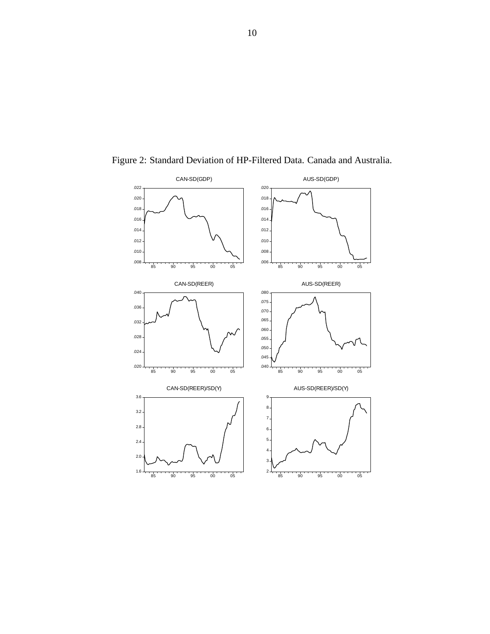

Figure 2: Standard Deviation of HP-Filtered Data. Canada and Australia.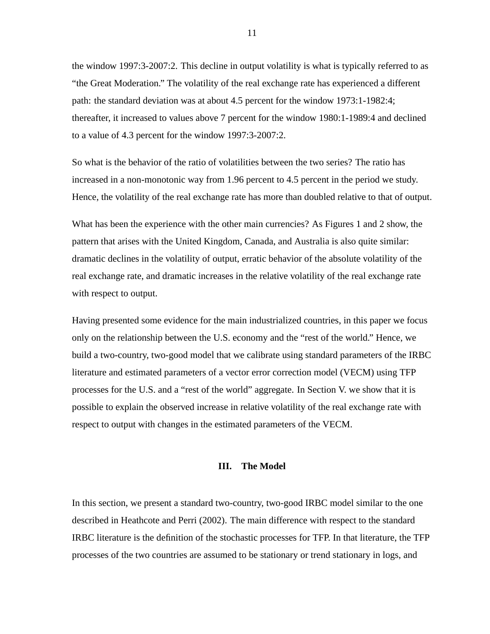the window 1997:3-2007:2. This decline in output volatility is what is typically referred to as "the Great Moderation." The volatility of the real exchange rate has experienced a different path: the standard deviation was at about 4.5 percent for the window 1973:1-1982:4; thereafter, it increased to values above 7 percent for the window 1980:1-1989:4 and declined to a value of 4.3 percent for the window 1997:3-2007:2.

So what is the behavior of the ratio of volatilities between the two series? The ratio has increased in a non-monotonic way from 1.96 percent to 4.5 percent in the period we study. Hence, the volatility of the real exchange rate has more than doubled relative to that of output.

What has been the experience with the other main currencies? As Figures 1 and 2 show, the pattern that arises with the United Kingdom, Canada, and Australia is also quite similar: dramatic declines in the volatility of output, erratic behavior of the absolute volatility of the real exchange rate, and dramatic increases in the relative volatility of the real exchange rate with respect to output.

Having presented some evidence for the main industrialized countries, in this paper we focus only on the relationship between the U.S. economy and the "rest of the world." Hence, we build a two-country, two-good model that we calibrate using standard parameters of the IRBC literature and estimated parameters of a vector error correction model (VECM) using TFP processes for the U.S. and a "rest of the world" aggregate. In Section V. we show that it is possible to explain the observed increase in relative volatility of the real exchange rate with respect to output with changes in the estimated parameters of the VECM.

### **III. The Model**

In this section, we present a standard two-country, two-good IRBC model similar to the one described in Heathcote and Perri (2002). The main difference with respect to the standard IRBC literature is the definition of the stochastic processes for TFP. In that literature, the TFP processes of the two countries are assumed to be stationary or trend stationary in logs, and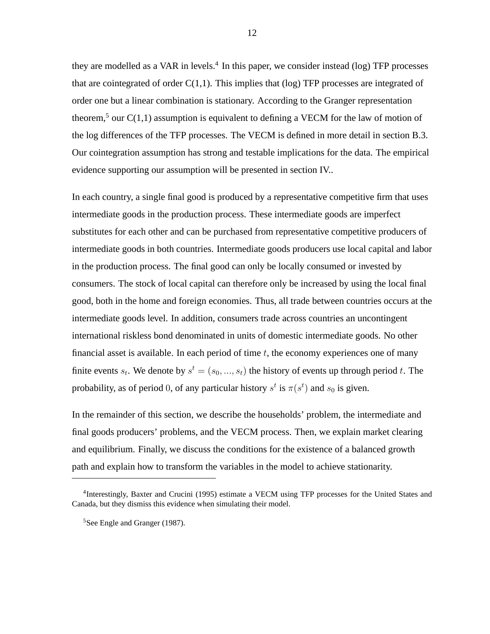they are modelled as a VAR in levels.<sup>4</sup> In this paper, we consider instead (log) TFP processes that are cointegrated of order  $C(1,1)$ . This implies that (log) TFP processes are integrated of order one but a linear combination is stationary. According to the Granger representation theorem,<sup>5</sup> our  $C(1,1)$  assumption is equivalent to defining a VECM for the law of motion of the log differences of the TFP processes. The VECM is defined in more detail in section B.3. Our cointegration assumption has strong and testable implications for the data. The empirical evidence supporting our assumption will be presented in section IV..

In each country, a single final good is produced by a representative competitive firm that uses intermediate goods in the production process. These intermediate goods are imperfect substitutes for each other and can be purchased from representative competitive producers of intermediate goods in both countries. Intermediate goods producers use local capital and labor in the production process. The final good can only be locally consumed or invested by consumers. The stock of local capital can therefore only be increased by using the local final good, both in the home and foreign economies. Thus, all trade between countries occurs at the intermediate goods level. In addition, consumers trade across countries an uncontingent international riskless bond denominated in units of domestic intermediate goods. No other financial asset is available. In each period of time  $t$ , the economy experiences one of many finite events  $s_t$ . We denote by  $s^t = (s_0, ..., s_t)$  the history of events up through period t. The probability, as of period 0, of any particular history  $s^t$  is  $\pi(s^t)$  and  $s_0$  is given.

In the remainder of this section, we describe the households' problem, the intermediate and final goods producers' problems, and the VECM process. Then, we explain market clearing and equilibrium. Finally, we discuss the conditions for the existence of a balanced growth path and explain how to transform the variables in the model to achieve stationarity.

<sup>&</sup>lt;sup>4</sup>Interestingly, Baxter and Crucini (1995) estimate a VECM using TFP processes for the United States and Canada, but they dismiss this evidence when simulating their model.

<sup>&</sup>lt;sup>5</sup>See Engle and Granger (1987).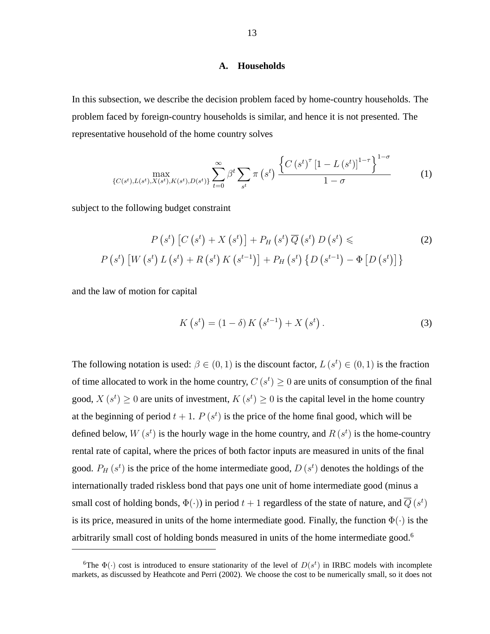# **A. Households**

In this subsection, we describe the decision problem faced by home-country households. The problem faced by foreign-country households is similar, and hence it is not presented. The representative household of the home country solves

$$
\max_{\{C(s^t), L(s^t), X(s^t), K(s^t), D(s^t)\}} \sum_{t=0}^{\infty} \beta^t \sum_{s^t} \pi\left(s^t\right) \frac{\left\{C\left(s^t\right)^{\tau} \left[1 - L\left(s^t\right)\right]^{1-\tau}\right\}^{1-\sigma}}{1-\sigma} \tag{1}
$$

subject to the following budget constraint

$$
P(s^{t}) [C(s^{t}) + X(s^{t})] + P_{H}(s^{t}) \overline{Q}(s^{t}) D(s^{t}) \leq P(s^{t}) [W(s^{t}) L(s^{t}) + R(s^{t}) K(s^{t-1})] + P_{H}(s^{t}) \{D(s^{t-1}) - \Phi[D(s^{t})]\}
$$
\n(2)

and the law of motion for capital

$$
K(s^{t}) = (1 - \delta) K(s^{t-1}) + X(s^{t}).
$$
\n(3)

The following notation is used:  $\beta \in (0, 1)$  is the discount factor,  $L(s^t) \in (0, 1)$  is the fraction of time allocated to work in the home country,  $C(s^t) \geq 0$  are units of consumption of the final good,  $X(s^t) \ge 0$  are units of investment,  $K(s^t) \ge 0$  is the capital level in the home country at the beginning of period  $t + 1$ .  $P(s^t)$  is the price of the home final good, which will be defined below,  $W(s^t)$  is the hourly wage in the home country, and  $R(s^t)$  is the home-country rental rate of capital, where the prices of both factor inputs are measured in units of the final good.  $P_H(s^t)$  is the price of the home intermediate good,  $D(s^t)$  denotes the holdings of the internationally traded riskless bond that pays one unit of home intermediate good (minus a small cost of holding bonds,  $\Phi(\cdot)$ ) in period  $t+1$  regardless of the state of nature, and  $\overline{Q}(s^t)$ is its price, measured in units of the home intermediate good. Finally, the function  $\Phi(\cdot)$  is the arbitrarily small cost of holding bonds measured in units of the home intermediate good.<sup>6</sup>

<sup>&</sup>lt;sup>6</sup>The  $\Phi(\cdot)$  cost is introduced to ensure stationarity of the level of  $D(s^t)$  in IRBC models with incomplete markets, as discussed by Heathcote and Perri (2002). We choose the cost to be numerically small, so it does not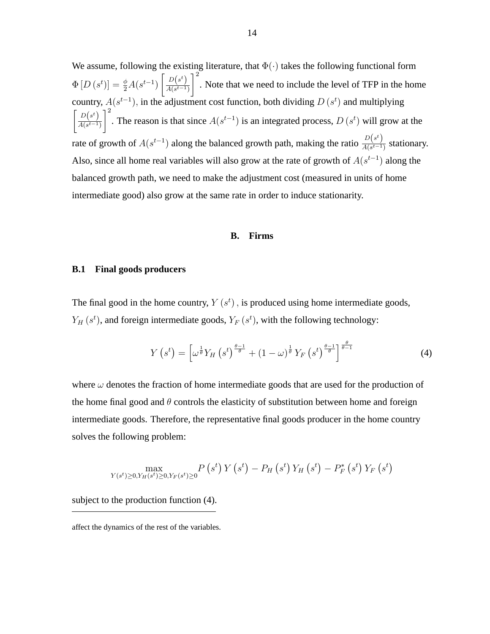We assume, following the existing literature, that  $\Phi(\cdot)$  takes the following functional form  $\Phi\left[D\left(s^t\right)\right] = \frac{\phi}{2} A(s^{t-1})$  $\left[ D(s^t)\right]$  $A(s^{t-1})$  $\vert$ <sup>2</sup> . Note that we need to include the level of TFP in the home country,  $A(s^{t-1})$ , in the adjustment cost function, both dividing  $D(s^t)$  and multiplying  $\int D(s^t)$  $A(s^{t-1})$  $1^2$ . The reason is that since  $A(s^{t-1})$  is an integrated process,  $D(s^t)$  will grow at the rate of growth of  $A(s^{t-1})$  along the balanced growth path, making the ratio  $\frac{D(s^t)}{A(s^{t-1})}$  $\frac{D(s)}{A(s^{t-1})}$  stationary. Also, since all home real variables will also grow at the rate of growth of  $A(s^{t-1})$  along the balanced growth path, we need to make the adjustment cost (measured in units of home intermediate good) also grow at the same rate in order to induce stationarity.

#### **B. Firms**

#### **B.1 Final goods producers**

The final good in the home country,  $Y(s^t)$ , is produced using home intermediate goods,  $Y_H(s^t)$ , and foreign intermediate goods,  $Y_F(s^t)$ , with the following technology:

$$
Y\left(s^{t}\right) = \left[\omega^{\frac{1}{\theta}}Y_{H}\left(s^{t}\right)^{\frac{\theta-1}{\theta}} + \left(1-\omega\right)^{\frac{1}{\theta}}Y_{F}\left(s^{t}\right)^{\frac{\theta-1}{\theta}}\right]^{\frac{\theta}{\theta-1}}\tag{4}
$$

where  $\omega$  denotes the fraction of home intermediate goods that are used for the production of the home final good and  $\theta$  controls the elasticity of substitution between home and foreign intermediate goods. Therefore, the representative final goods producer in the home country solves the following problem:

$$
\max_{Y(s^t)\geq 0, Y_H(s^t)\geq 0, Y_F(s^t)\geq 0} P\left(s^t\right) Y\left(s^t\right) - P_H\left(s^t\right) Y_H\left(s^t\right) - P_F^*\left(s^t\right) Y_F\left(s^t\right)
$$

subject to the production function (4).

affect the dynamics of the rest of the variables.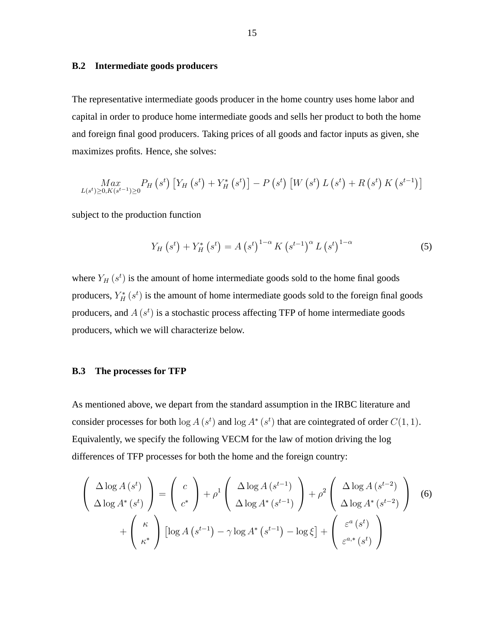# **B.2 Intermediate goods producers**

The representative intermediate goods producer in the home country uses home labor and capital in order to produce home intermediate goods and sells her product to both the home and foreign final good producers. Taking prices of all goods and factor inputs as given, she maximizes profits. Hence, she solves:

$$
\underset{L(s^{t}) \geq 0, K(s^{t-1}) \geq 0}{Max} P_{H}(s^{t}) \left[ Y_{H}(s^{t}) + Y_{H}^{*}(s^{t}) \right] - P(s^{t}) \left[ W(s^{t}) L(s^{t}) + R(s^{t}) K(s^{t-1}) \right]
$$

subject to the production function

$$
Y_{H}(s^{t}) + Y_{H}^{*}(s^{t}) = A(s^{t})^{1-\alpha} K(s^{t-1})^{\alpha} L(s^{t})^{1-\alpha}
$$
 (5)

where  $Y_H(s^t)$  is the amount of home intermediate goods sold to the home final goods producers,  $Y_H^*(s^t)$  is the amount of home intermediate goods sold to the foreign final goods producers, and  $A(s^t)$  is a stochastic process affecting TFP of home intermediate goods producers, which we will characterize below.

# **B.3 The processes for TFP**

As mentioned above, we depart from the standard assumption in the IRBC literature and consider processes for both  $\log A(s^t)$  and  $\log A^*(s^t)$  that are cointegrated of order  $C(1, 1)$ . Equivalently, we specify the following VECM for the law of motion driving the log differences of TFP processes for both the home and the foreign country:

$$
\begin{pmatrix}\n\Delta \log A (s^t) \\
\Delta \log A^* (s^t)\n\end{pmatrix} = \begin{pmatrix}\nc \\
c^*\n\end{pmatrix} + \rho^1 \begin{pmatrix}\n\Delta \log A (s^{t-1}) \\
\Delta \log A^* (s^{t-1})\n\end{pmatrix} + \rho^2 \begin{pmatrix}\n\Delta \log A (s^{t-2}) \\
\Delta \log A^* (s^{t-2})\n\end{pmatrix}
$$
\n
$$
+ \begin{pmatrix}\n\kappa \\
\kappa^*\n\end{pmatrix} \left[ \log A (s^{t-1}) - \gamma \log A^* (s^{t-1}) - \log \xi \right] + \begin{pmatrix}\n\varepsilon^a (s^t) \\
\varepsilon^{a,*} (s^t)\n\end{pmatrix}
$$
\n(6)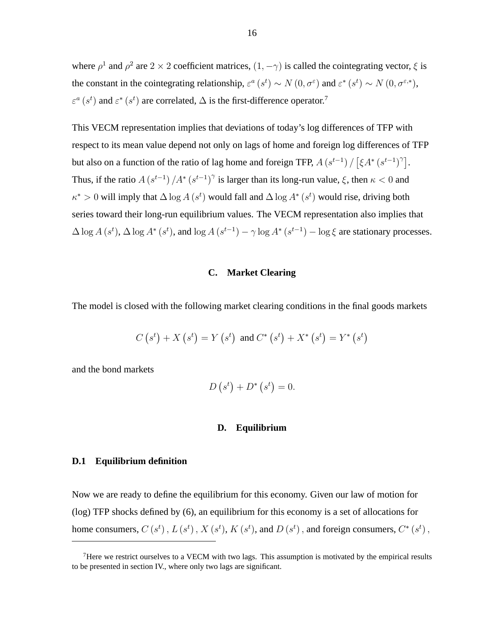where  $\rho^1$  and  $\rho^2$  are  $2 \times 2$  coefficient matrices,  $(1, -\gamma)$  is called the cointegrating vector,  $\xi$  is the constant in the cointegrating relationship,  $\varepsilon^a(s^t) \sim N(0, \sigma^{\varepsilon})$  and  $\varepsilon^*(s^t) \sim N(0, \sigma^{\varepsilon,*})$ ,  $\varepsilon^a$  (s<sup>t</sup>) and  $\varepsilon^*$  (s<sup>t</sup>) are correlated,  $\Delta$  is the first-difference operator.<sup>7</sup>

This VECM representation implies that deviations of today's log differences of TFP with respect to its mean value depend not only on lags of home and foreign log differences of TFP but also on a function of the ratio of lag home and foreign TFP,  $A(s^{t-1}) / [\xi A^* (s^{t-1})^{\gamma}]$ . Thus, if the ratio  $A(s^{t-1})/A^*(s^{t-1})^{\gamma}$  is larger than its long-run value,  $\xi$ , then  $\kappa < 0$  and  $\kappa^* > 0$  will imply that  $\Delta \log A$  (s<sup>t</sup>) would fall and  $\Delta \log A^*$  (s<sup>t</sup>) would rise, driving both series toward their long-run equilibrium values. The VECM representation also implies that  $\Delta \log A(s^t)$ ,  $\Delta \log A^*(s^t)$ , and  $\log A(s^{t-1}) - \gamma \log A^*(s^{t-1}) - \log \xi$  are stationary processes.

# **C. Market Clearing**

The model is closed with the following market clearing conditions in the final goods markets

$$
C(s^t) + X(s^t) = Y(s^t)
$$
 and  $C^*(s^t) + X^*(s^t) = Y^*(s^t)$ 

and the bond markets

$$
D\left(s^t\right) + D^*\left(s^t\right) = 0.
$$

# **D. Equilibrium**

# **D.1 Equilibrium definition**

Now we are ready to define the equilibrium for this economy. Given our law of motion for (log) TFP shocks defined by (6), an equilibrium for this economy is a set of allocations for home consumers,  $C(s^t)$  ,  $L(s^t)$  ,  $X(s^t)$ ,  $K(s^t)$ , and  $D(s^t)$  , and foreign consumers,  $C^*(s^t)$ ,

<sup>&</sup>lt;sup>7</sup>Here we restrict ourselves to a VECM with two lags. This assumption is motivated by the empirical results to be presented in section IV., where only two lags are significant.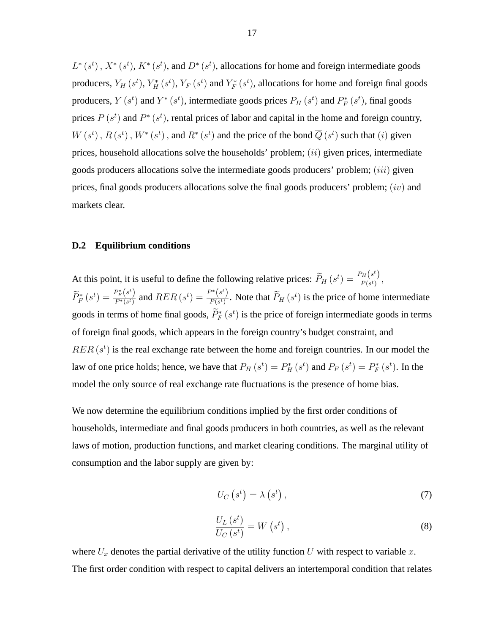$L^*(s^t)$ ,  $X^*(s^t)$ ,  $K^*(s^t)$ , and  $D^*(s^t)$ , allocations for home and foreign intermediate goods producers,  $Y_H(s^t)$ ,  $Y_H^*(s^t)$ ,  $Y_F(s^t)$  and  $Y_F^*(s^t)$ , allocations for home and foreign final goods producers,  $Y(s^t)$  and  $Y^*(s^t)$ , intermediate goods prices  $P_H(s^t)$  and  $P_F^*(s^t)$ , final goods prices  $P(s^t)$  and  $P^*(s^t)$ , rental prices of labor and capital in the home and foreign country,  $W(s^t)$ ,  $R(s^t)$ ,  $W^*(s^t)$ , and  $R^*(s^t)$  and the price of the bond  $\overline{Q}(s^t)$  such that  $(i)$  given prices, household allocations solve the households' problem;  $(ii)$  given prices, intermediate goods producers allocations solve the intermediate goods producers' problem;  $(iii)$  given prices, final goods producers allocations solve the final goods producers' problem;  $(iv)$  and markets clear.

# **D.2 Equilibrium conditions**

At this point, it is useful to define the following relative prices:  $\widetilde{P}_H(s^t) = \frac{P_H(s^t)}{P(s^t)}$  $\frac{H(s)}{P(s^t)},$  $\widetilde{P}_F^*\left(s^t\right)=\frac{P_F^*\left(s^t\right)}{P^*(s^t)}$  $\frac{P_{F}^{*}\left(s^{t}\right)}{P^{*}\left(s^{t}\right)}$  and  $RER\left(s^{t}\right)=\frac{P^{*}\left(s^{t}\right)}{P\left(s^{t}\right)}$  $\frac{S^{(s)}}{P(s^t)}$ . Note that  $P_H(s^t)$  is the price of home intermediate goods in terms of home final goods,  $\tilde{P}_F^*(s^t)$  is the price of foreign intermediate goods in terms of foreign final goods, which appears in the foreign country's budget constraint, and  $RER(s<sup>t</sup>)$  is the real exchange rate between the home and foreign countries. In our model the law of one price holds; hence, we have that  $P_H(s^t) = P_H^*(s^t)$  and  $P_F(s^t) = P_F^*(s^t)$ . In the model the only source of real exchange rate fluctuations is the presence of home bias.

We now determine the equilibrium conditions implied by the first order conditions of households, intermediate and final goods producers in both countries, as well as the relevant laws of motion, production functions, and market clearing conditions. The marginal utility of consumption and the labor supply are given by:

$$
U_C\left(s^t\right) = \lambda\left(s^t\right),\tag{7}
$$

$$
\frac{U_L(s^t)}{U_C(s^t)} = W\left(s^t\right),\tag{8}
$$

where  $U_x$  denotes the partial derivative of the utility function U with respect to variable x. The first order condition with respect to capital delivers an intertemporal condition that relates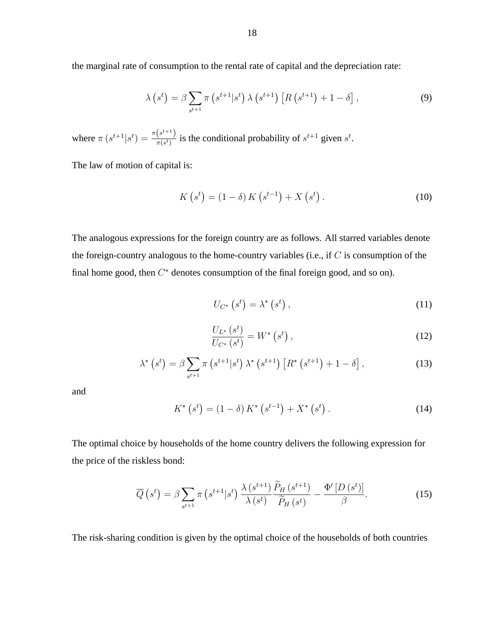the marginal rate of consumption to the rental rate of capital and the depreciation rate:

$$
\lambda\left(s^{t}\right) = \beta \sum_{s^{t+1}} \pi\left(s^{t+1}|s^{t}\right) \lambda\left(s^{t+1}\right) \left[R\left(s^{t+1}\right) + 1 - \delta\right],\tag{9}
$$

where  $\pi (s^{t+1}|s^t) = \frac{\pi (s^{t+1})}{\pi (s^t)}$  $\frac{(s^{k+1})}{\pi(s^t)}$  is the conditional probability of  $s^{t+1}$  given  $s^t$ .

The law of motion of capital is:

$$
K(s^{t}) = (1 - \delta) K(s^{t-1}) + X(s^{t}).
$$
\n(10)

The analogous expressions for the foreign country are as follows. All starred variables denote the foreign-country analogous to the home-country variables (i.e., if  $C$  is consumption of the final home good, then  $C^*$  denotes consumption of the final foreign good, and so on).

$$
U_{C^*}\left(s^t\right) = \lambda^*\left(s^t\right),\tag{11}
$$

$$
\frac{U_{L^*}\left(s^t\right)}{U_{C^*}\left(s^t\right)} = W^*\left(s^t\right),\tag{12}
$$

$$
\lambda^* \left( s^t \right) = \beta \sum_{s^{t+1}} \pi \left( s^{t+1} | s^t \right) \lambda^* \left( s^{t+1} \right) \left[ R^* \left( s^{t+1} \right) + 1 - \delta \right], \tag{13}
$$

and

$$
K^*\left(s^t\right) = \left(1 - \delta\right)K^*\left(s^{t-1}\right) + X^*\left(s^t\right). \tag{14}
$$

The optimal choice by households of the home country delivers the following expression for the price of the riskless bond:

$$
\overline{Q}\left(s^{t}\right) = \beta \sum_{s^{t+1}} \pi\left(s^{t+1}|s^{t}\right) \frac{\lambda\left(s^{t+1}\right)}{\lambda\left(s^{t}\right)} \frac{\overline{P}_{H}\left(s^{t+1}\right)}{\widetilde{P}_{H}\left(s^{t}\right)} - \frac{\Phi'\left[D\left(s^{t}\right)\right]}{\beta}.\tag{15}
$$

The risk-sharing condition is given by the optimal choice of the households of both countries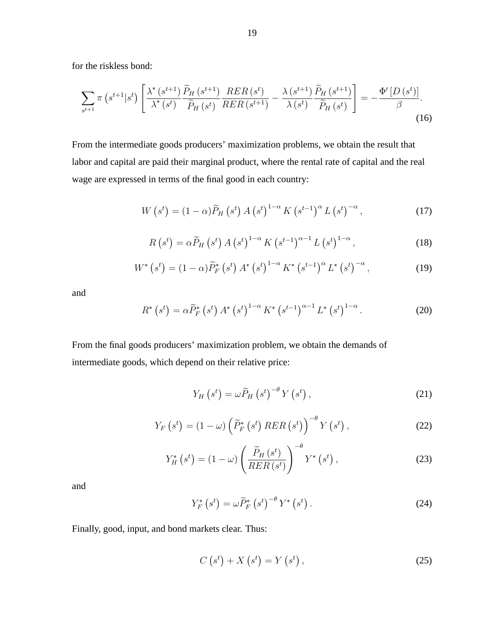for the riskless bond:

$$
\sum_{s^{t+1}} \pi\left(s^{t+1}|s^t\right) \left[ \frac{\lambda^*\left(s^{t+1}\right)}{\lambda^*\left(s^t\right)} \frac{\widetilde{P}_H\left(s^{t+1}\right)}{\widetilde{P}_H\left(s^t\right)} \frac{RER\left(s^t\right)}{RER\left(s^{t+1}\right)} - \frac{\lambda\left(s^{t+1}\right)}{\lambda\left(s^t\right)} \frac{\widetilde{P}_H\left(s^{t+1}\right)}{\widetilde{P}_H\left(s^t\right)} \right] = -\frac{\Phi'\left[D\left(s^t\right)\right]}{\beta}.\tag{16}
$$

From the intermediate goods producers' maximization problems, we obtain the result that labor and capital are paid their marginal product, where the rental rate of capital and the real wage are expressed in terms of the final good in each country:

$$
W\left(s^{t}\right) = (1 - \alpha)\widetilde{P}_{H}\left(s^{t}\right)A\left(s^{t}\right)^{1-\alpha}K\left(s^{t-1}\right)^{\alpha}L\left(s^{t}\right)^{-\alpha},\tag{17}
$$

$$
R\left(s^{t}\right) = \alpha \widetilde{P}_{H}\left(s^{t}\right) A\left(s^{t}\right)^{1-\alpha} K\left(s^{t-1}\right)^{\alpha-1} L\left(s^{t}\right)^{1-\alpha},\tag{18}
$$

$$
W^* \left( s^t \right) = (1 - \alpha) \widetilde{P}_F^* \left( s^t \right) A^* \left( s^t \right)^{1 - \alpha} K^* \left( s^{t - 1} \right)^{\alpha} L^* \left( s^t \right)^{-\alpha}, \tag{19}
$$

and

$$
R^* (s^t) = \alpha \widetilde{P}_F^* (s^t) A^* (s^t)^{1-\alpha} K^* (s^{t-1})^{\alpha-1} L^* (s^t)^{1-\alpha}.
$$
 (20)

From the final goods producers' maximization problem, we obtain the demands of intermediate goods, which depend on their relative price:

$$
Y_H\left(s^t\right) = \omega \widetilde{P}_H\left(s^t\right)^{-\theta} Y\left(s^t\right),\tag{21}
$$

$$
Y_F\left(s^t\right) = \left(1 - \omega\right) \left(\widetilde{P}_F^*\left(s^t\right) RER\left(s^t\right)\right)^{-\theta} Y\left(s^t\right),\tag{22}
$$

$$
Y_H^*\left(s^t\right) = \left(1 - \omega\right) \left(\frac{\widetilde{P}_H\left(s^t\right)}{RER\left(s^t\right)}\right)^{-\theta} Y^*\left(s^t\right),\tag{23}
$$

and

$$
Y_F^*\left(s^t\right) = \omega \widetilde{P}_F^*\left(s^t\right)^{-\theta} Y^*\left(s^t\right). \tag{24}
$$

Finally, good, input, and bond markets clear. Thus:

$$
C\left(s^{t}\right) + X\left(s^{t}\right) = Y\left(s^{t}\right),\tag{25}
$$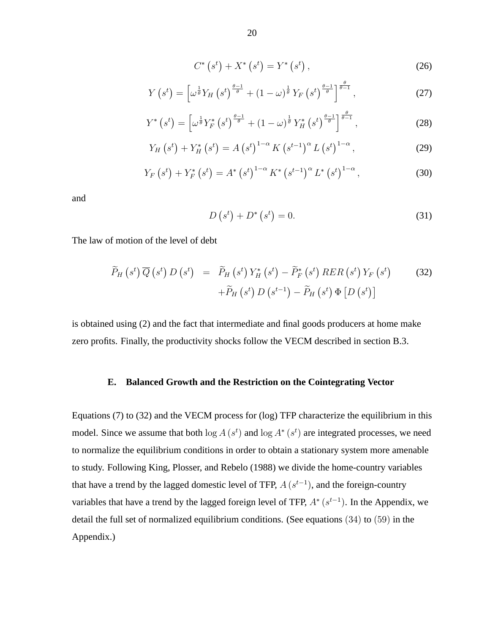$$
C^*\left(s^t\right) + X^*\left(s^t\right) = Y^*\left(s^t\right),\tag{26}
$$

$$
Y\left(s^{t}\right) = \left[\omega^{\frac{1}{\theta}}Y_{H}\left(s^{t}\right)^{\frac{\theta-1}{\theta}} + \left(1-\omega\right)^{\frac{1}{\theta}}Y_{F}\left(s^{t}\right)^{\frac{\theta-1}{\theta}}\right]^{\frac{\theta}{\theta-1}},\tag{27}
$$

$$
Y^*\left(s^t\right) = \left[\omega^{\frac{1}{\theta}} Y_F^*\left(s^t\right)^{\frac{\theta-1}{\theta}} + \left(1-\omega\right)^{\frac{1}{\theta}} Y_H^*\left(s^t\right)^{\frac{\theta-1}{\theta}}\right]^{\frac{\theta}{\theta-1}},\tag{28}
$$

$$
Y_{H}\left(s^{t}\right) + Y_{H}^{*}\left(s^{t}\right) = A\left(s^{t}\right)^{1-\alpha} K\left(s^{t-1}\right)^{\alpha} L\left(s^{t}\right)^{1-\alpha},\tag{29}
$$

$$
Y_F(s^t) + Y_F^* (s^t) = A^* (s^t)^{1-\alpha} K^* (s^{t-1})^{\alpha} L^* (s^t)^{1-\alpha}, \qquad (30)
$$

and

$$
D\left(s^{t}\right) + D^{*}\left(s^{t}\right) = 0.\tag{31}
$$

The law of motion of the level of debt

$$
\widetilde{P}_H\left(s^t\right)\overline{Q}\left(s^t\right)D\left(s^t\right) = \widetilde{P}_H\left(s^t\right)Y_H^*\left(s^t\right) - \widetilde{P}_F^*\left(s^t\right)RER\left(s^t\right)Y_F\left(s^t\right) \qquad (32)
$$
\n
$$
+ \widetilde{P}_H\left(s^t\right)D\left(s^{t-1}\right) - \widetilde{P}_H\left(s^t\right)\Phi\left[D\left(s^t\right)\right]
$$

is obtained using (2) and the fact that intermediate and final goods producers at home make zero profits. Finally, the productivity shocks follow the VECM described in section B.3.

#### **E. Balanced Growth and the Restriction on the Cointegrating Vector**

Equations (7) to (32) and the VECM process for (log) TFP characterize the equilibrium in this model. Since we assume that both  $\log A(s^t)$  and  $\log A^*(s^t)$  are integrated processes, we need to normalize the equilibrium conditions in order to obtain a stationary system more amenable to study. Following King, Plosser, and Rebelo (1988) we divide the home-country variables that have a trend by the lagged domestic level of TFP,  $A(s^{t-1})$ , and the foreign-country variables that have a trend by the lagged foreign level of TFP,  $A^*$  ( $s^{t-1}$ ). In the Appendix, we detail the full set of normalized equilibrium conditions. (See equations (34) to (59) in the Appendix.)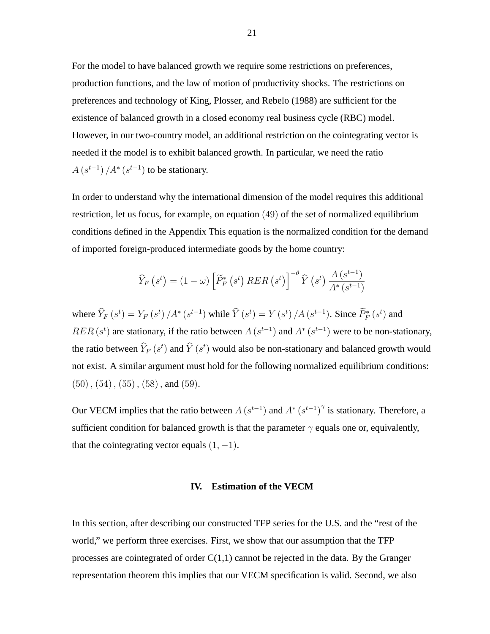For the model to have balanced growth we require some restrictions on preferences, production functions, and the law of motion of productivity shocks. The restrictions on preferences and technology of King, Plosser, and Rebelo (1988) are sufficient for the existence of balanced growth in a closed economy real business cycle (RBC) model. However, in our two-country model, an additional restriction on the cointegrating vector is needed if the model is to exhibit balanced growth. In particular, we need the ratio  $A(s^{t-1})/A^*(s^{t-1})$  to be stationary.

In order to understand why the international dimension of the model requires this additional restriction, let us focus, for example, on equation (49) of the set of normalized equilibrium conditions defined in the Appendix This equation is the normalized condition for the demand of imported foreign-produced intermediate goods by the home country:

$$
\widehat{Y}_F\left(s^t\right) = \left(1 - \omega\right) \left[\widetilde{P}_F^*\left(s^t\right) RER\left(s^t\right)\right]^{-\theta} \widehat{Y}\left(s^t\right) \frac{A\left(s^{t-1}\right)}{A^*\left(s^{t-1}\right)}
$$

where  $\hat{Y}_F(s^t) = Y_F(s^t) / A^* (s^{t-1})$  while  $\hat{Y}(s^t) = Y(s^t) / A (s^{t-1})$ . Since  $\hat{P}_F^*(s^t)$  and  $RER(s^t)$  are stationary, if the ratio between  $A(s^{t-1})$  and  $A^*(s^{t-1})$  were to be non-stationary, the ratio between  $\hat{Y}_F\left(s^t\right)$  and  $\hat{Y}\left(s^t\right)$  would also be non-stationary and balanced growth would not exist. A similar argument must hold for the following normalized equilibrium conditions:  $(50), (54), (55), (58),$  and  $(59).$ 

Our VECM implies that the ratio between  $A(s^{t-1})$  and  $A^*(s^{t-1})^{\gamma}$  is stationary. Therefore, a sufficient condition for balanced growth is that the parameter  $\gamma$  equals one or, equivalently, that the cointegrating vector equals  $(1, -1)$ .

### **IV. Estimation of the VECM**

In this section, after describing our constructed TFP series for the U.S. and the "rest of the world," we perform three exercises. First, we show that our assumption that the TFP processes are cointegrated of order  $C(1,1)$  cannot be rejected in the data. By the Granger representation theorem this implies that our VECM specification is valid. Second, we also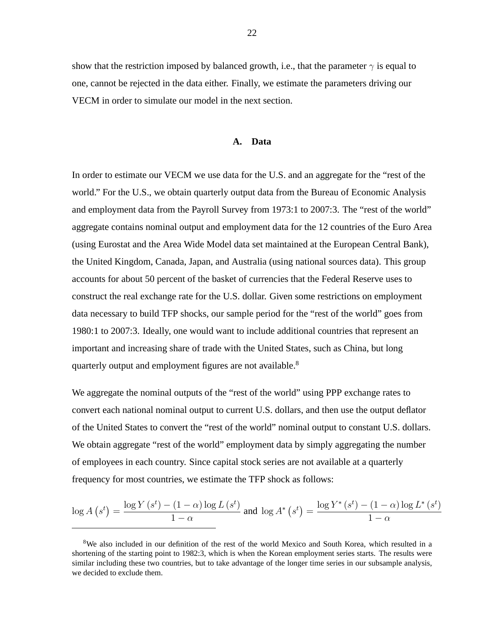show that the restriction imposed by balanced growth, i.e., that the parameter  $\gamma$  is equal to one, cannot be rejected in the data either. Finally, we estimate the parameters driving our VECM in order to simulate our model in the next section.

### **A. Data**

In order to estimate our VECM we use data for the U.S. and an aggregate for the "rest of the world." For the U.S., we obtain quarterly output data from the Bureau of Economic Analysis and employment data from the Payroll Survey from 1973:1 to 2007:3. The "rest of the world" aggregate contains nominal output and employment data for the 12 countries of the Euro Area (using Eurostat and the Area Wide Model data set maintained at the European Central Bank), the United Kingdom, Canada, Japan, and Australia (using national sources data). This group accounts for about 50 percent of the basket of currencies that the Federal Reserve uses to construct the real exchange rate for the U.S. dollar. Given some restrictions on employment data necessary to build TFP shocks, our sample period for the "rest of the world" goes from 1980:1 to 2007:3. Ideally, one would want to include additional countries that represent an important and increasing share of trade with the United States, such as China, but long quarterly output and employment figures are not available.<sup>8</sup>

We aggregate the nominal outputs of the "rest of the world" using PPP exchange rates to convert each national nominal output to current U.S. dollars, and then use the output deflator of the United States to convert the "rest of the world" nominal output to constant U.S. dollars. We obtain aggregate "rest of the world" employment data by simply aggregating the number of employees in each country. Since capital stock series are not available at a quarterly frequency for most countries, we estimate the TFP shock as follows:

$$
\log A(s^t) = \frac{\log Y(s^t) - (1 - \alpha) \log L(s^t)}{1 - \alpha} \text{ and } \log A^* (s^t) = \frac{\log Y^* (s^t) - (1 - \alpha) \log L^* (s^t)}{1 - \alpha}
$$

<sup>&</sup>lt;sup>8</sup>We also included in our definition of the rest of the world Mexico and South Korea, which resulted in a shortening of the starting point to 1982:3, which is when the Korean employment series starts. The results were similar including these two countries, but to take advantage of the longer time series in our subsample analysis, we decided to exclude them.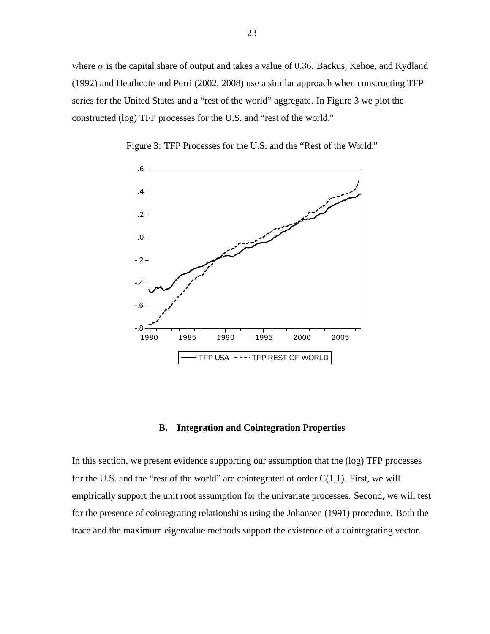where  $\alpha$  is the capital share of output and takes a value of 0.36. Backus, Kehoe, and Kydland (1992) and Heathcote and Perri (2002, 2008) use a similar approach when constructing TFP series for the United States and a "rest of the world" aggregate. In Figure 3 we plot the constructed (log) TFP processes for the U.S. and "rest of the world."



Figure 3: TFP Processes for the U.S. and the "Rest of the World."

# **B. Integration and Cointegration Properties**

In this section, we present evidence supporting our assumption that the (log) TFP processes for the U.S. and the "rest of the world" are cointegrated of order  $C(1,1)$ . First, we will empirically support the unit root assumption for the univariate processes. Second, we will test for the presence of cointegrating relationships using the Johansen (1991) procedure. Both the trace and the maximum eigenvalue methods support the existence of a cointegrating vector.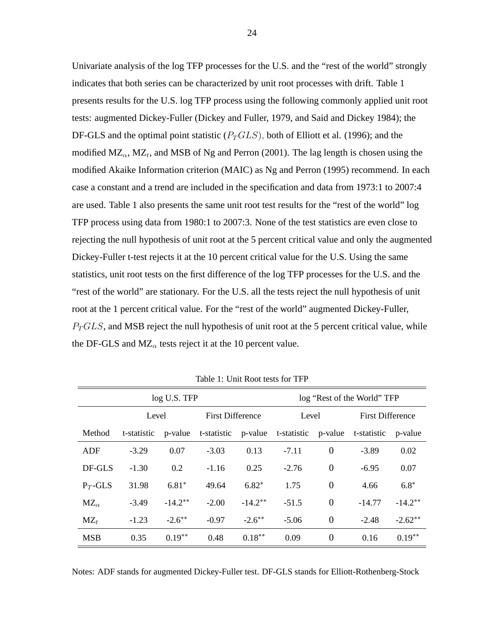Univariate analysis of the log TFP processes for the U.S. and the "rest of the world" strongly indicates that both series can be characterized by unit root processes with drift. Table 1 presents results for the U.S. log TFP process using the following commonly applied unit root tests: augmented Dickey-Fuller (Dickey and Fuller, 1979, and Said and Dickey 1984); the DF-GLS and the optimal point statistic  $(P_TGLS)$ , both of Elliott et al. (1996); and the modified  $MZ_{\alpha}$ ,  $MZ_{t}$ , and MSB of Ng and Perron (2001). The lag length is chosen using the modified Akaike Information criterion (MAIC) as Ng and Perron (1995) recommend. In each case a constant and a trend are included in the specification and data from 1973:1 to 2007:4 are used. Table 1 also presents the same unit root test results for the "rest of the world" log TFP process using data from 1980:1 to 2007:3. None of the test statistics are even close to rejecting the null hypothesis of unit root at the 5 percent critical value and only the augmented Dickey-Fuller t-test rejects it at the 10 percent critical value for the U.S. Using the same statistics, unit root tests on the first difference of the log TFP processes for the U.S. and the "rest of the world" are stationary. For the U.S. all the tests reject the null hypothesis of unit root at the 1 percent critical value. For the "rest of the world" augmented Dickey-Fuller,  $P_TGLS$ , and MSB reject the null hypothesis of unit root at the 5 percent critical value, while the DF-GLS and  $MZ_{\alpha}$  tests reject it at the 10 percent value.

|               |             | log U.S. TFP |                                 | log "Rest of the World" TFP |         |                |             |                         |  |
|---------------|-------------|--------------|---------------------------------|-----------------------------|---------|----------------|-------------|-------------------------|--|
|               | Level       |              |                                 | <b>First Difference</b>     |         | Level          |             | <b>First Difference</b> |  |
| Method        | t-statistic | p-value      | t-statistic p-value t-statistic |                             |         | p-value        | t-statistic | p-value                 |  |
| ADF           | $-3.29$     | 0.07         | $-3.03$                         | 0.13                        | $-7.11$ | $\overline{0}$ | $-3.89$     | 0.02                    |  |
| DF-GLS        | $-1.30$     | 0.2          | $-1.16$                         | 0.25                        | $-2.76$ | $\overline{0}$ | $-6.95$     | 0.07                    |  |
| $P_T$ -GLS    | 31.98       | $6.81*$      | 49.64                           | $6.82*$                     | 1.75    | $\overline{0}$ | 4.66        | $6.8*$                  |  |
| $MZ_{\alpha}$ | $-3.49$     | $-14.2**$    | $-2.00$                         | $-14.2**$                   | $-51.5$ | $\overline{0}$ | $-14.77$    | $-14.2**$               |  |
| $MZ_t$        | $-1.23$     | $-2.6***$    | $-0.97$                         | $-2.6***$                   | $-5.06$ | $\overline{0}$ | $-2.48$     | $-2.62**$               |  |
| <b>MSB</b>    | 0.35        | $0.19**$     | 0.48                            | $0.18***$                   | 0.09    | $\overline{0}$ | 0.16        | $0.19**$                |  |

Table 1: Unit Root tests for TFP

Notes: ADF stands for augmented Dickey-Fuller test. DF-GLS stands for Elliott-Rothenberg-Stock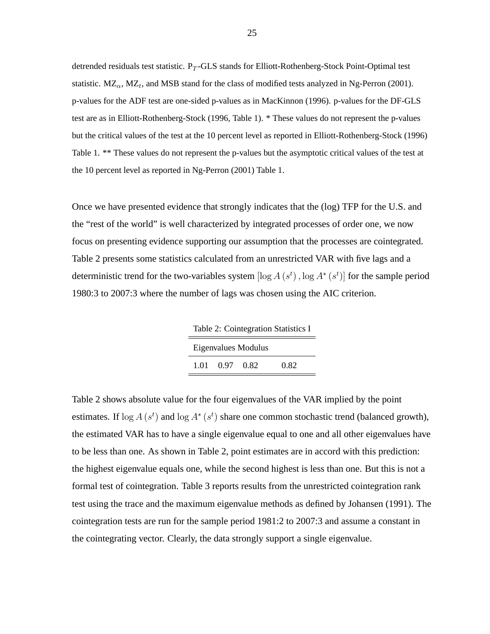detrended residuals test statistic.  $P_T$ -GLS stands for Elliott-Rothenberg-Stock Point-Optimal test statistic.  $MZ_{\alpha}$ ,  $MZ_{t}$ , and MSB stand for the class of modified tests analyzed in Ng-Perron (2001). p-values for the ADF test are one-sided p-values as in MacKinnon (1996). p-values for the DF-GLS test are as in Elliott-Rothenberg-Stock (1996, Table 1). \* These values do not represent the p-values but the critical values of the test at the 10 percent level as reported in Elliott-Rothenberg-Stock (1996) Table 1. \*\* These values do not represent the p-values but the asymptotic critical values of the test at the 10 percent level as reported in Ng-Perron (2001) Table 1.

Once we have presented evidence that strongly indicates that the (log) TFP for the U.S. and the "rest of the world" is well characterized by integrated processes of order one, we now focus on presenting evidence supporting our assumption that the processes are cointegrated. Table 2 presents some statistics calculated from an unrestricted VAR with five lags and a deterministic trend for the two-variables system  $[\log A(s^t), \log A^*(s^t)]$  for the sample period 1980:3 to 2007:3 where the number of lags was chosen using the AIC criterion.

Table 2: Cointegration Statistics I Eigenvalues Modulus 1.01 0.97 0.82 0.82

Table 2 shows absolute value for the four eigenvalues of the VAR implied by the point estimates. If  $\log A(s^t)$  and  $\log A^*(s^t)$  share one common stochastic trend (balanced growth), the estimated VAR has to have a single eigenvalue equal to one and all other eigenvalues have to be less than one. As shown in Table 2, point estimates are in accord with this prediction: the highest eigenvalue equals one, while the second highest is less than one. But this is not a formal test of cointegration. Table 3 reports results from the unrestricted cointegration rank test using the trace and the maximum eigenvalue methods as defined by Johansen (1991). The cointegration tests are run for the sample period 1981:2 to 2007:3 and assume a constant in the cointegrating vector. Clearly, the data strongly support a single eigenvalue.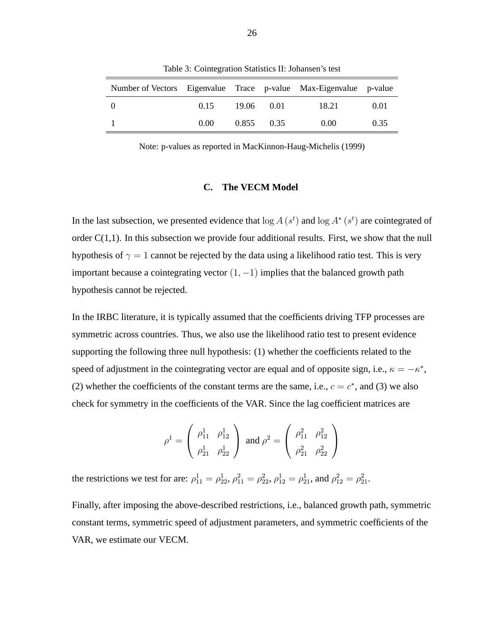| Number of Vectors Eigenvalue Trace p-value Max-Eigenvalue p-value |      |            |            |       |      |
|-------------------------------------------------------------------|------|------------|------------|-------|------|
|                                                                   | 0.15 | 19.06 0.01 |            | 18.21 | 0.01 |
|                                                                   | 0.00 |            | 0.855 0.35 | 0.00  | 0.35 |

Table 3: Cointegration Statistics II: Johansen's test

Note: p-values as reported in MacKinnon-Haug-Michelis (1999)

# **C. The VECM Model**

In the last subsection, we presented evidence that  $\log A(s^t)$  and  $\log A^*(s^t)$  are cointegrated of order  $C(1,1)$ . In this subsection we provide four additional results. First, we show that the null hypothesis of  $\gamma = 1$  cannot be rejected by the data using a likelihood ratio test. This is very important because a cointegrating vector  $(1, -1)$  implies that the balanced growth path hypothesis cannot be rejected.

In the IRBC literature, it is typically assumed that the coefficients driving TFP processes are symmetric across countries. Thus, we also use the likelihood ratio test to present evidence supporting the following three null hypothesis: (1) whether the coefficients related to the speed of adjustment in the cointegrating vector are equal and of opposite sign, i.e.,  $\kappa = -\kappa^*$ , (2) whether the coefficients of the constant terms are the same, i.e.,  $c = c^*$ , and (3) we also check for symmetry in the coefficients of the VAR. Since the lag coefficient matrices are

$$
\rho^1 = \begin{pmatrix} \rho_{11}^1 & \rho_{12}^1 \\ \rho_{21}^1 & \rho_{22}^1 \end{pmatrix} \text{ and } \rho^2 = \begin{pmatrix} \rho_{11}^2 & \rho_{12}^2 \\ \rho_{21}^2 & \rho_{22}^2 \end{pmatrix}
$$

the restrictions we test for are:  $\rho_{11}^1 = \rho_{22}^1$ ,  $\rho_{11}^2 = \rho_{22}^2$ ,  $\rho_{12}^1 = \rho_{21}^1$ , and  $\rho_{12}^2 = \rho_{21}^2$ .

Finally, after imposing the above-described restrictions, i.e., balanced growth path, symmetric constant terms, symmetric speed of adjustment parameters, and symmetric coefficients of the VAR, we estimate our VECM.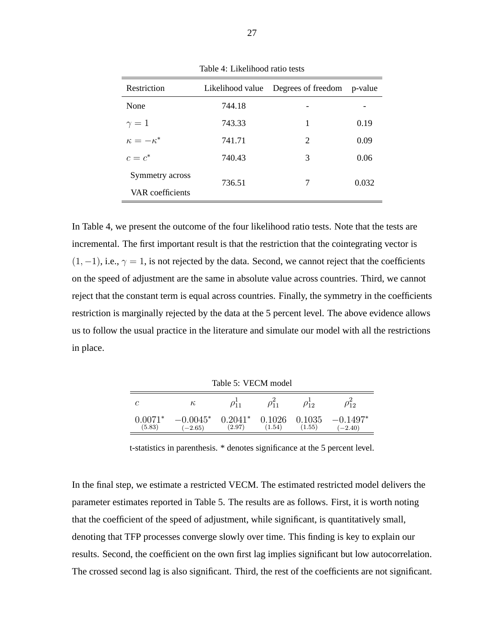| Restriction        | Likelihood value | Degrees of freedom p-value  |       |
|--------------------|------------------|-----------------------------|-------|
| None               | 744.18           |                             |       |
| $\gamma=1$         | 743.33           | 1                           | 0.19  |
| $\kappa=-\kappa^*$ | 741.71           | $\mathcal{D}_{\mathcal{L}}$ | 0.09  |
| $c=c^*$            | 740.43           | 3                           | 0.06  |
| Symmetry across    | 736.51           | 7                           | 0.032 |
| VAR coefficients   |                  |                             |       |

Table 4: Likelihood ratio tests

In Table 4, we present the outcome of the four likelihood ratio tests. Note that the tests are incremental. The first important result is that the restriction that the cointegrating vector is  $(1, -1)$ , i.e.,  $\gamma = 1$ , is not rejected by the data. Second, we cannot reject that the coefficients on the speed of adjustment are the same in absolute value across countries. Third, we cannot reject that the constant term is equal across countries. Finally, the symmetry in the coefficients restriction is marginally rejected by the data at the 5 percent level. The above evidence allows us to follow the usual practice in the literature and simulate our model with all the restrictions in place.

Table 5: VECM model

| С       | $\kappa$   |           | ∩<br>$\eta_{\rm m}$ | 12     | ' 1 2      |
|---------|------------|-----------|---------------------|--------|------------|
| በ በበ71* | $-0.0045*$ | $0.2041*$ | 0.1026              | 0.1035 | $-0.1497*$ |
| (5.83)  | $(-2.65)$  | (2.97)    | (1.54)              | (1.55) | $(-2.40)$  |

t-statistics in parenthesis. \* denotes significance at the 5 percent level.

In the final step, we estimate a restricted VECM. The estimated restricted model delivers the parameter estimates reported in Table 5. The results are as follows. First, it is worth noting that the coefficient of the speed of adjustment, while significant, is quantitatively small, denoting that TFP processes converge slowly over time. This finding is key to explain our results. Second, the coefficient on the own first lag implies significant but low autocorrelation. The crossed second lag is also significant. Third, the rest of the coefficients are not significant.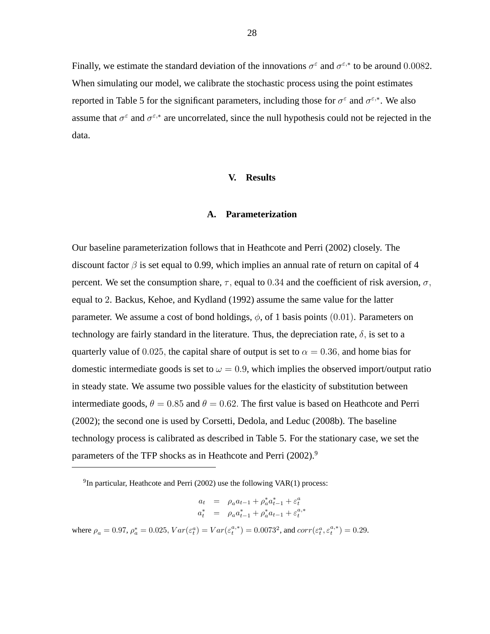Finally, we estimate the standard deviation of the innovations  $\sigma^{\epsilon}$  and  $\sigma^{\epsilon,*}$  to be around 0.0082. When simulating our model, we calibrate the stochastic process using the point estimates reported in Table 5 for the significant parameters, including those for  $\sigma^{\varepsilon}$  and  $\sigma^{\varepsilon,*}$ . We also assume that  $\sigma^{\varepsilon}$  and  $\sigma^{\varepsilon,*}$  are uncorrelated, since the null hypothesis could not be rejected in the data.

# **V. Results**

#### **A. Parameterization**

Our baseline parameterization follows that in Heathcote and Perri (2002) closely. The discount factor  $\beta$  is set equal to 0.99, which implies an annual rate of return on capital of 4 percent. We set the consumption share,  $\tau$ , equal to 0.34 and the coefficient of risk aversion,  $\sigma$ , equal to 2. Backus, Kehoe, and Kydland (1992) assume the same value for the latter parameter. We assume a cost of bond holdings,  $\phi$ , of 1 basis points (0.01). Parameters on technology are fairly standard in the literature. Thus, the depreciation rate,  $\delta$ , is set to a quarterly value of 0.025, the capital share of output is set to  $\alpha = 0.36$ , and home bias for domestic intermediate goods is set to  $\omega = 0.9$ , which implies the observed import/output ratio in steady state. We assume two possible values for the elasticity of substitution between intermediate goods,  $\theta = 0.85$  and  $\theta = 0.62$ . The first value is based on Heathcote and Perri (2002); the second one is used by Corsetti, Dedola, and Leduc (2008b). The baseline technology process is calibrated as described in Table 5. For the stationary case, we set the parameters of the TFP shocks as in Heathcote and Perri (2002).<sup>9</sup>

$$
\begin{array}{rcl} a_t & = & \rho_a a_{t-1} + \rho_a^* a_{t-1}^* + \varepsilon_t^a \\ a_t^* & = & \rho_a a_{t-1}^* + \rho_a^* a_{t-1} + \varepsilon_t^{a,*} \end{array}
$$

where  $\rho_a = 0.97$ ,  $\rho_a^* = 0.025$ ,  $Var(\varepsilon_t^a) = Var(\varepsilon_t^{a,*}) = 0.0073^2$ , and  $corr(\varepsilon_t^a, \varepsilon_t^{a,*}) = 0.29$ .

 $^{9}$ In particular, Heathcote and Perri (2002) use the following VAR(1) process: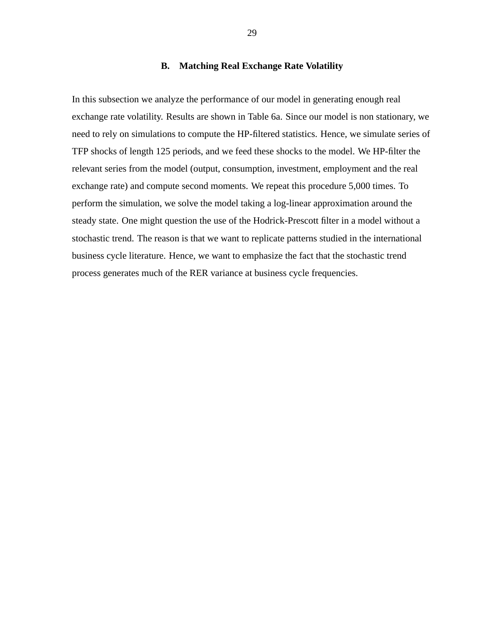# **B. Matching Real Exchange Rate Volatility**

In this subsection we analyze the performance of our model in generating enough real exchange rate volatility. Results are shown in Table 6a. Since our model is non stationary, we need to rely on simulations to compute the HP-filtered statistics. Hence, we simulate series of TFP shocks of length 125 periods, and we feed these shocks to the model. We HP-filter the relevant series from the model (output, consumption, investment, employment and the real exchange rate) and compute second moments. We repeat this procedure 5,000 times. To perform the simulation, we solve the model taking a log-linear approximation around the steady state. One might question the use of the Hodrick-Prescott filter in a model without a stochastic trend. The reason is that we want to replicate patterns studied in the international business cycle literature. Hence, we want to emphasize the fact that the stochastic trend process generates much of the RER variance at business cycle frequencies.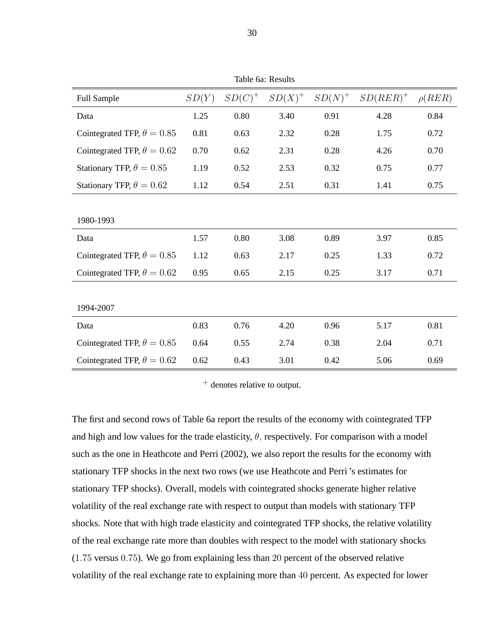| Table 6a: Results                 |       |           |           |           |             |             |
|-----------------------------------|-------|-----------|-----------|-----------|-------------|-------------|
| <b>Full Sample</b>                | SD(Y) | $SD(C)^+$ | $SD(X)^+$ | $SD(N)^+$ | $SD(RER)^+$ | $\rho(REF)$ |
| Data                              | 1.25  | 0.80      | 3.40      | 0.91      | 4.28        | 0.84        |
| Cointegrated TFP, $\theta = 0.85$ | 0.81  | 0.63      | 2.32      | 0.28      | 1.75        | 0.72        |
| Cointegrated TFP, $\theta = 0.62$ | 0.70  | 0.62      | 2.31      | 0.28      | 4.26        | 0.70        |
| Stationary TFP, $\theta = 0.85$   | 1.19  | 0.52      | 2.53      | 0.32      | 0.75        | 0.77        |
| Stationary TFP, $\theta = 0.62$   | 1.12  | 0.54      | 2.51      | 0.31      | 1.41        | 0.75        |
|                                   |       |           |           |           |             |             |
| 1980-1993                         |       |           |           |           |             |             |
| Data                              | 1.57  | 0.80      | 3.08      | 0.89      | 3.97        | 0.85        |
| Cointegrated TFP, $\theta = 0.85$ | 1.12  | 0.63      | 2.17      | 0.25      | 1.33        | 0.72        |
| Cointegrated TFP, $\theta = 0.62$ | 0.95  | 0.65      | 2.15      | 0.25      | 3.17        | 0.71        |
|                                   |       |           |           |           |             |             |
| 1994-2007                         |       |           |           |           |             |             |
| Data                              | 0.83  | 0.76      | 4.20      | 0.96      | 5.17        | 0.81        |
| Cointegrated TFP, $\theta = 0.85$ | 0.64  | 0.55      | 2.74      | 0.38      | 2.04        | 0.71        |
| Cointegrated TFP, $\theta = 0.62$ | 0.62  | 0.43      | 3.01      | 0.42      | 5.06        | 0.69        |

<sup>+</sup> denotes relative to output.

The first and second rows of Table 6a report the results of the economy with cointegrated TFP and high and low values for the trade elasticity,  $\theta$ , respectively. For comparison with a model such as the one in Heathcote and Perri (2002), we also report the results for the economy with stationary TFP shocks in the next two rows (we use Heathcote and Perri 's estimates for stationary TFP shocks). Overall, models with cointegrated shocks generate higher relative volatility of the real exchange rate with respect to output than models with stationary TFP shocks. Note that with high trade elasticity and cointegrated TFP shocks, the relative volatility of the real exchange rate more than doubles with respect to the model with stationary shocks (1:75 versus 0:75). We go from explaining less than 20 percent of the observed relative volatility of the real exchange rate to explaining more than 40 percent. As expected for lower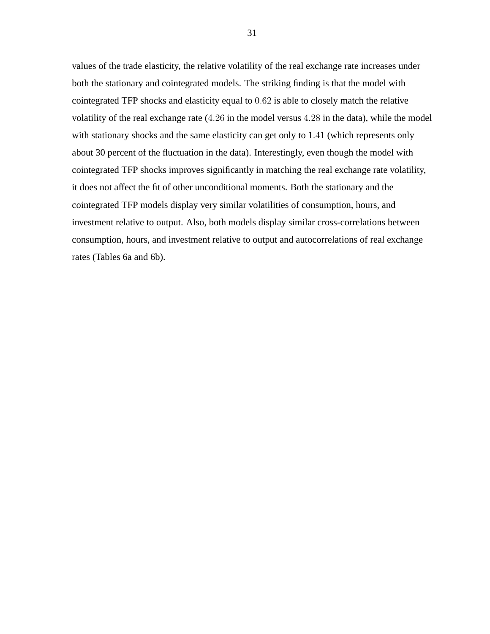values of the trade elasticity, the relative volatility of the real exchange rate increases under both the stationary and cointegrated models. The striking finding is that the model with cointegrated TFP shocks and elasticity equal to 0:62 is able to closely match the relative volatility of the real exchange rate (4:26 in the model versus 4:28 in the data), while the model with stationary shocks and the same elasticity can get only to 1.41 (which represents only about 30 percent of the fluctuation in the data). Interestingly, even though the model with cointegrated TFP shocks improves significantly in matching the real exchange rate volatility, it does not affect the fit of other unconditional moments. Both the stationary and the cointegrated TFP models display very similar volatilities of consumption, hours, and investment relative to output. Also, both models display similar cross-correlations between consumption, hours, and investment relative to output and autocorrelations of real exchange rates (Tables 6a and 6b).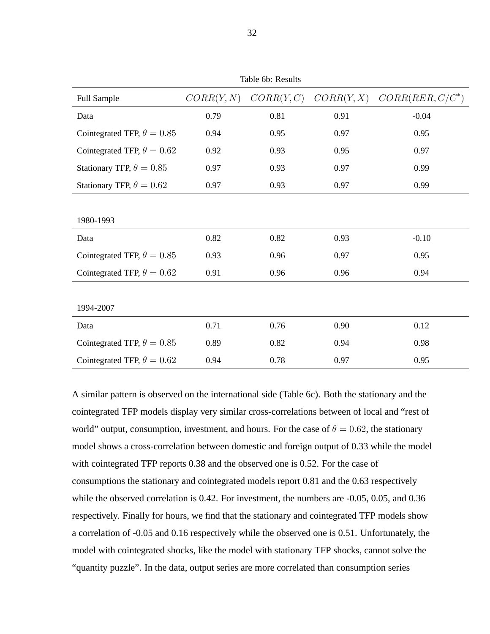| Table ou. Results                 |            |            |            |                    |  |
|-----------------------------------|------------|------------|------------|--------------------|--|
| Full Sample                       | CORR(Y, N) | CORR(Y, C) | CORR(Y, X) | $CORR(REF, C/C^*)$ |  |
| Data                              | 0.79       | 0.81       | 0.91       | $-0.04$            |  |
| Cointegrated TFP, $\theta = 0.85$ | 0.94       | 0.95       | 0.97       | 0.95               |  |
| Cointegrated TFP, $\theta = 0.62$ | 0.92       | 0.93       | 0.95       | 0.97               |  |
| Stationary TFP, $\theta = 0.85$   | 0.97       | 0.93       | 0.97       | 0.99               |  |
| Stationary TFP, $\theta = 0.62$   | 0.97       | 0.93       | 0.97       | 0.99               |  |
|                                   |            |            |            |                    |  |
| 1980-1993                         |            |            |            |                    |  |
| Data                              | 0.82       | 0.82       | 0.93       | $-0.10$            |  |
| Cointegrated TFP, $\theta = 0.85$ | 0.93       | 0.96       | 0.97       | 0.95               |  |
| Cointegrated TFP, $\theta = 0.62$ | 0.91       | 0.96       | 0.96       | 0.94               |  |
|                                   |            |            |            |                    |  |
| 1994-2007                         |            |            |            |                    |  |
| Data                              | 0.71       | 0.76       | 0.90       | 0.12               |  |
| Cointegrated TFP, $\theta = 0.85$ | 0.89       | 0.82       | 0.94       | 0.98               |  |
| Cointegrated TFP, $\theta = 0.62$ | 0.94       | 0.78       | 0.97       | 0.95               |  |

A similar pattern is observed on the international side (Table 6c). Both the stationary and the cointegrated TFP models display very similar cross-correlations between of local and "rest of world" output, consumption, investment, and hours. For the case of  $\theta = 0.62$ , the stationary model shows a cross-correlation between domestic and foreign output of 0.33 while the model with cointegrated TFP reports 0.38 and the observed one is 0.52. For the case of consumptions the stationary and cointegrated models report 0.81 and the 0.63 respectively while the observed correlation is 0.42. For investment, the numbers are -0.05, 0.05, and 0.36 respectively. Finally for hours, we find that the stationary and cointegrated TFP models show a correlation of -0.05 and 0.16 respectively while the observed one is 0.51. Unfortunately, the model with cointegrated shocks, like the model with stationary TFP shocks, cannot solve the "quantity puzzle". In the data, output series are more correlated than consumption series

Table 6b: Results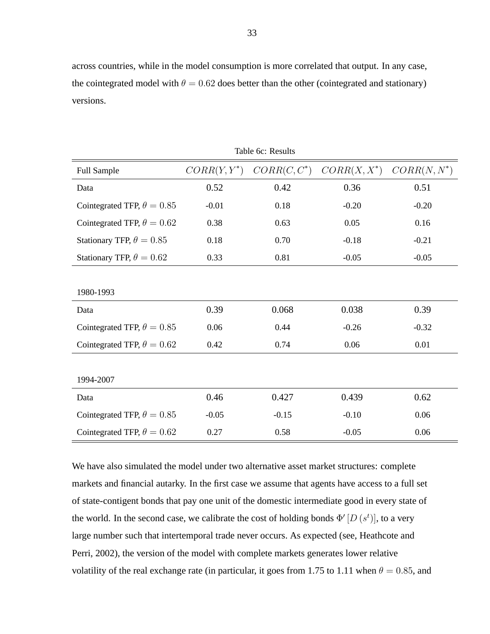across countries, while in the model consumption is more correlated that output. In any case, the cointegrated model with  $\theta = 0.62$  does better than the other (cointegrated and stationary) versions.

| Table 6c: Results                 |                |                |                |                |  |  |
|-----------------------------------|----------------|----------------|----------------|----------------|--|--|
| Full Sample                       | $CORR(Y, Y^*)$ | $CORR(C, C^*)$ | $CORR(X, X^*)$ | $CORR(N, N^*)$ |  |  |
| Data                              | 0.52           | 0.42           | 0.36           | 0.51           |  |  |
| Cointegrated TFP, $\theta = 0.85$ | $-0.01$        | 0.18           | $-0.20$        | $-0.20$        |  |  |
| Cointegrated TFP, $\theta = 0.62$ | 0.38           | 0.63           | 0.05           | 0.16           |  |  |
| Stationary TFP, $\theta = 0.85$   | 0.18           | 0.70           | $-0.18$        | $-0.21$        |  |  |
| Stationary TFP, $\theta = 0.62$   | 0.33           | 0.81           | $-0.05$        | $-0.05$        |  |  |
|                                   |                |                |                |                |  |  |
| 1980-1993                         |                |                |                |                |  |  |
| Data                              | 0.39           | 0.068          | 0.038          | 0.39           |  |  |
| Cointegrated TFP, $\theta = 0.85$ | 0.06           | 0.44           | $-0.26$        | $-0.32$        |  |  |
| Cointegrated TFP, $\theta = 0.62$ | 0.42           | 0.74           | 0.06           | 0.01           |  |  |
|                                   |                |                |                |                |  |  |
| 1994-2007                         |                |                |                |                |  |  |
| Data                              | 0.46           | 0.427          | 0.439          | 0.62           |  |  |
| Cointegrated TFP, $\theta = 0.85$ | $-0.05$        | $-0.15$        | $-0.10$        | 0.06           |  |  |
| Cointegrated TFP, $\theta = 0.62$ | 0.27           | 0.58           | $-0.05$        | 0.06           |  |  |

We have also simulated the model under two alternative asset market structures: complete markets and financial autarky. In the first case we assume that agents have access to a full set of state-contigent bonds that pay one unit of the domestic intermediate good in every state of the world. In the second case, we calibrate the cost of holding bonds  $\Phi'[D(s^t)]$ , to a very large number such that intertemporal trade never occurs. As expected (see, Heathcote and Perri, 2002), the version of the model with complete markets generates lower relative volatility of the real exchange rate (in particular, it goes from 1.75 to 1.11 when  $\theta = 0.85$ , and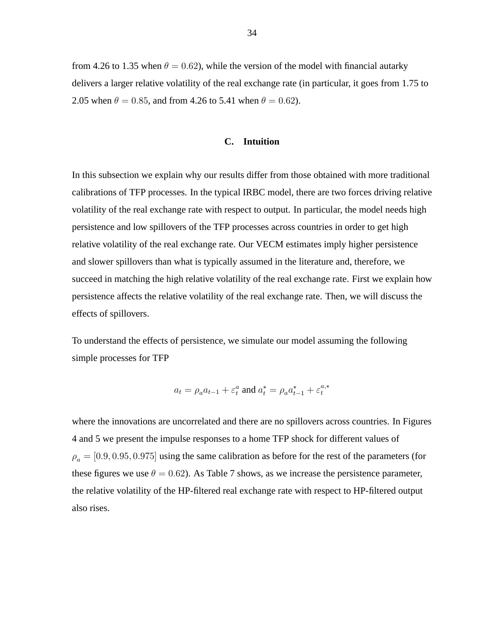from 4.26 to 1.35 when  $\theta = 0.62$ ), while the version of the model with financial autarky delivers a larger relative volatility of the real exchange rate (in particular, it goes from 1.75 to 2.05 when  $\theta = 0.85$ , and from 4.26 to 5.41 when  $\theta = 0.62$ ).

#### **C. Intuition**

In this subsection we explain why our results differ from those obtained with more traditional calibrations of TFP processes. In the typical IRBC model, there are two forces driving relative volatility of the real exchange rate with respect to output. In particular, the model needs high persistence and low spillovers of the TFP processes across countries in order to get high relative volatility of the real exchange rate. Our VECM estimates imply higher persistence and slower spillovers than what is typically assumed in the literature and, therefore, we succeed in matching the high relative volatility of the real exchange rate. First we explain how persistence affects the relative volatility of the real exchange rate. Then, we will discuss the effects of spillovers.

To understand the effects of persistence, we simulate our model assuming the following simple processes for TFP

$$
a_t = \rho_a a_{t-1} + \varepsilon_t^a \text{ and } a_t^* = \rho_a a_{t-1}^* + \varepsilon_t^{a,*}
$$

where the innovations are uncorrelated and there are no spillovers across countries. In Figures 4 and 5 we present the impulse responses to a home TFP shock for different values of  $\rho_a = [0.9, 0.95, 0.975]$  using the same calibration as before for the rest of the parameters (for these figures we use  $\theta = 0.62$ ). As Table 7 shows, as we increase the persistence parameter, the relative volatility of the HP-filtered real exchange rate with respect to HP-filtered output also rises.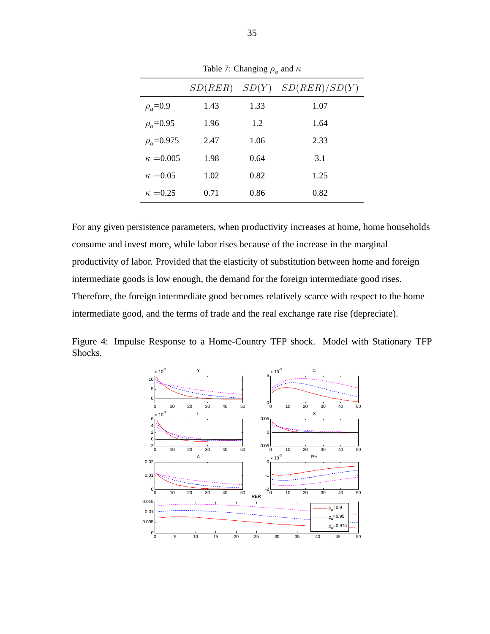|                  | SD(RER) |      | $SD(Y)$ $SD(RER)/SD(Y)$ |
|------------------|---------|------|-------------------------|
| $\rho_a = 0.9$   | 1.43    | 1.33 | 1.07                    |
| $\rho_a = 0.95$  | 1.96    | 1.2  | 1.64                    |
| $\rho_a = 0.975$ | 2.47    | 1.06 | 2.33                    |
| $\kappa = 0.005$ | 1.98    | 0.64 | 3.1                     |
| $\kappa = 0.05$  | 1.02    | 0.82 | 1.25                    |
| $\kappa = 0.25$  | 0.71    | 0.86 | 0.82                    |

Table 7: Changing  $\rho_a$  and  $\kappa$ 

For any given persistence parameters, when productivity increases at home, home households consume and invest more, while labor rises because of the increase in the marginal productivity of labor. Provided that the elasticity of substitution between home and foreign intermediate goods is low enough, the demand for the foreign intermediate good rises. Therefore, the foreign intermediate good becomes relatively scarce with respect to the home intermediate good, and the terms of trade and the real exchange rate rise (depreciate).

Figure 4: Impulse Response to a Home-Country TFP shock. Model with Stationary TFP Shocks.

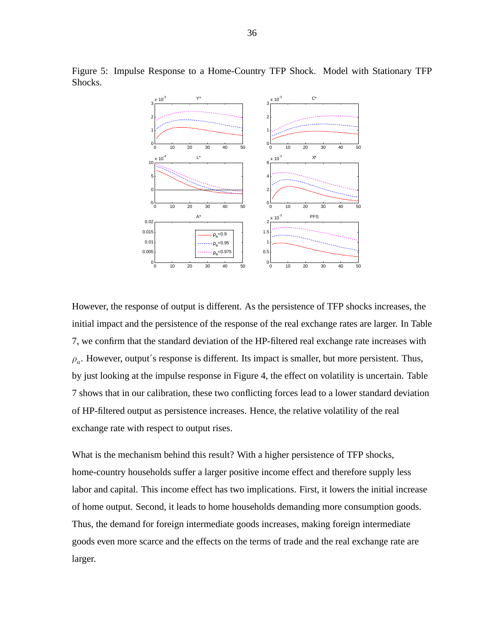

Figure 5: Impulse Response to a Home-Country TFP Shock. Model with Stationary TFP Shocks.

However, the response of output is different. As the persistence of TFP shocks increases, the initial impact and the persistence of the response of the real exchange rates are larger. In Table 7, we confirm that the standard deviation of the HP-filtered real exchange rate increases with  $\rho_a$ . However, output's response is different. Its impact is smaller, but more persistent. Thus, by just looking at the impulse response in Figure 4, the effect on volatility is uncertain. Table 7 shows that in our calibration, these two conflicting forces lead to a lower standard deviation of HP-filtered output as persistence increases. Hence, the relative volatility of the real exchange rate with respect to output rises.

What is the mechanism behind this result? With a higher persistence of TFP shocks, home-country households suffer a larger positive income effect and therefore supply less labor and capital. This income effect has two implications. First, it lowers the initial increase of home output. Second, it leads to home households demanding more consumption goods. Thus, the demand for foreign intermediate goods increases, making foreign intermediate goods even more scarce and the effects on the terms of trade and the real exchange rate are larger.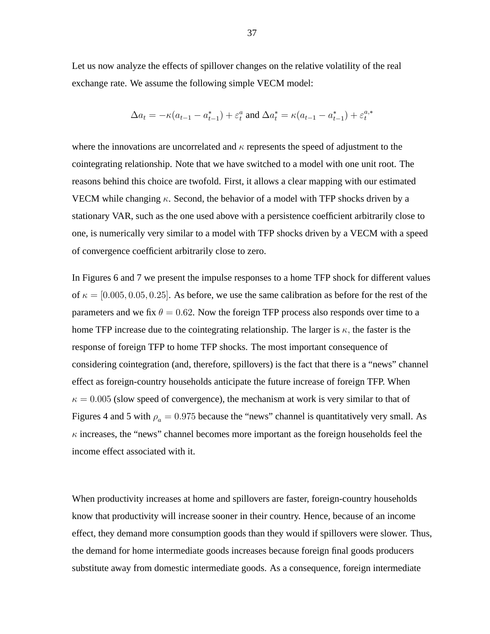Let us now analyze the effects of spillover changes on the relative volatility of the real exchange rate. We assume the following simple VECM model:

$$
\Delta a_t = -\kappa (a_{t-1} - a_{t-1}^*) + \varepsilon_t^a \text{ and } \Delta a_t^* = \kappa (a_{t-1} - a_{t-1}^*) + \varepsilon_t^{a,*}
$$

where the innovations are uncorrelated and  $\kappa$  represents the speed of adjustment to the cointegrating relationship. Note that we have switched to a model with one unit root. The reasons behind this choice are twofold. First, it allows a clear mapping with our estimated VECM while changing  $\kappa$ . Second, the behavior of a model with TFP shocks driven by a stationary VAR, such as the one used above with a persistence coefficient arbitrarily close to one, is numerically very similar to a model with TFP shocks driven by a VECM with a speed of convergence coefficient arbitrarily close to zero.

In Figures 6 and 7 we present the impulse responses to a home TFP shock for different values of  $\kappa = [0.005, 0.05, 0.25]$ . As before, we use the same calibration as before for the rest of the parameters and we fix  $\theta = 0.62$ . Now the foreign TFP process also responds over time to a home TFP increase due to the cointegrating relationship. The larger is  $\kappa$ , the faster is the response of foreign TFP to home TFP shocks. The most important consequence of considering cointegration (and, therefore, spillovers) is the fact that there is a "news" channel effect as foreign-country households anticipate the future increase of foreign TFP. When  $\kappa = 0.005$  (slow speed of convergence), the mechanism at work is very similar to that of Figures 4 and 5 with  $\rho_a = 0.975$  because the "news" channel is quantitatively very small. As  $\kappa$  increases, the "news" channel becomes more important as the foreign households feel the income effect associated with it.

When productivity increases at home and spillovers are faster, foreign-country households know that productivity will increase sooner in their country. Hence, because of an income effect, they demand more consumption goods than they would if spillovers were slower. Thus, the demand for home intermediate goods increases because foreign final goods producers substitute away from domestic intermediate goods. As a consequence, foreign intermediate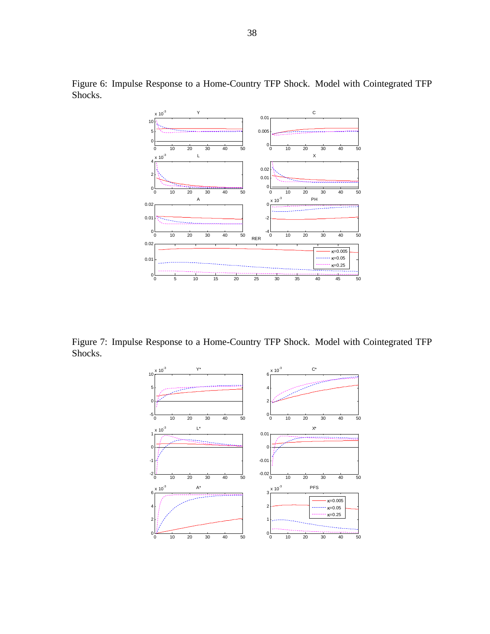

Figure 6: Impulse Response to a Home-Country TFP Shock. Model with Cointegrated TFP Shocks.

Figure 7: Impulse Response to a Home-Country TFP Shock. Model with Cointegrated TFP Shocks.

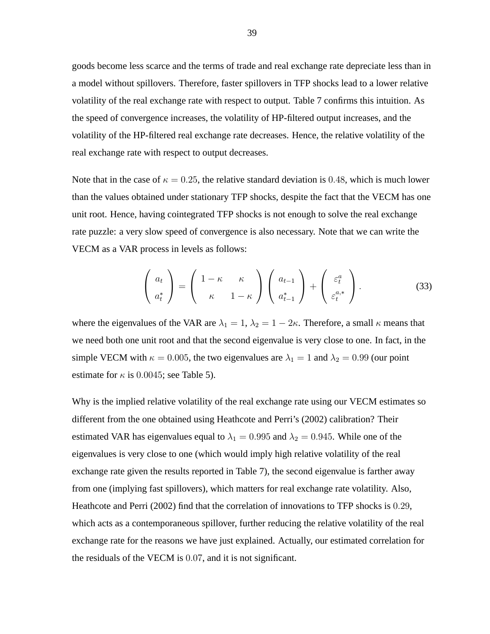goods become less scarce and the terms of trade and real exchange rate depreciate less than in a model without spillovers. Therefore, faster spillovers in TFP shocks lead to a lower relative volatility of the real exchange rate with respect to output. Table 7 confirms this intuition. As the speed of convergence increases, the volatility of HP-filtered output increases, and the volatility of the HP-filtered real exchange rate decreases. Hence, the relative volatility of the real exchange rate with respect to output decreases.

Note that in the case of  $\kappa = 0.25$ , the relative standard deviation is 0.48, which is much lower than the values obtained under stationary TFP shocks, despite the fact that the VECM has one unit root. Hence, having cointegrated TFP shocks is not enough to solve the real exchange rate puzzle: a very slow speed of convergence is also necessary. Note that we can write the VECM as a VAR process in levels as follows:

$$
\begin{pmatrix} a_t \\ a_t^* \end{pmatrix} = \begin{pmatrix} 1 - \kappa & \kappa \\ \kappa & 1 - \kappa \end{pmatrix} \begin{pmatrix} a_{t-1} \\ a_{t-1}^* \end{pmatrix} + \begin{pmatrix} \varepsilon_t^a \\ \varepsilon_t^{a,*} \end{pmatrix}.
$$
 (33)

where the eigenvalues of the VAR are  $\lambda_1 = 1$ ,  $\lambda_2 = 1 - 2\kappa$ . Therefore, a small  $\kappa$  means that we need both one unit root and that the second eigenvalue is very close to one. In fact, in the simple VECM with  $\kappa = 0.005$ , the two eigenvalues are  $\lambda_1 = 1$  and  $\lambda_2 = 0.99$  (our point estimate for  $\kappa$  is 0.0045; see Table 5).

Why is the implied relative volatility of the real exchange rate using our VECM estimates so different from the one obtained using Heathcote and Perri's (2002) calibration? Their estimated VAR has eigenvalues equal to  $\lambda_1 = 0.995$  and  $\lambda_2 = 0.945$ . While one of the eigenvalues is very close to one (which would imply high relative volatility of the real exchange rate given the results reported in Table 7), the second eigenvalue is farther away from one (implying fast spillovers), which matters for real exchange rate volatility. Also, Heathcote and Perri (2002) find that the correlation of innovations to TFP shocks is 0:29, which acts as a contemporaneous spillover, further reducing the relative volatility of the real exchange rate for the reasons we have just explained. Actually, our estimated correlation for the residuals of the VECM is 0:07, and it is not significant.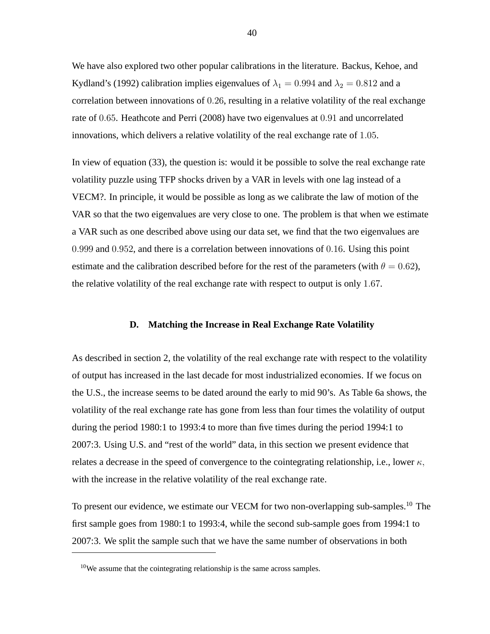We have also explored two other popular calibrations in the literature. Backus, Kehoe, and Kydland's (1992) calibration implies eigenvalues of  $\lambda_1 = 0.994$  and  $\lambda_2 = 0.812$  and a correlation between innovations of 0:26, resulting in a relative volatility of the real exchange rate of 0:65. Heathcote and Perri (2008) have two eigenvalues at 0:91 and uncorrelated innovations, which delivers a relative volatility of the real exchange rate of 1:05.

In view of equation (33), the question is: would it be possible to solve the real exchange rate volatility puzzle using TFP shocks driven by a VAR in levels with one lag instead of a VECM?. In principle, it would be possible as long as we calibrate the law of motion of the VAR so that the two eigenvalues are very close to one. The problem is that when we estimate a VAR such as one described above using our data set, we find that the two eigenvalues are 0:999 and 0:952, and there is a correlation between innovations of 0:16. Using this point estimate and the calibration described before for the rest of the parameters (with  $\theta = 0.62$ ), the relative volatility of the real exchange rate with respect to output is only 1:67.

#### **D. Matching the Increase in Real Exchange Rate Volatility**

As described in section 2, the volatility of the real exchange rate with respect to the volatility of output has increased in the last decade for most industrialized economies. If we focus on the U.S., the increase seems to be dated around the early to mid 90's. As Table 6a shows, the volatility of the real exchange rate has gone from less than four times the volatility of output during the period 1980:1 to 1993:4 to more than five times during the period 1994:1 to 2007:3. Using U.S. and "rest of the world" data, in this section we present evidence that relates a decrease in the speed of convergence to the cointegrating relationship, i.e., lower  $\kappa$ , with the increase in the relative volatility of the real exchange rate.

To present our evidence, we estimate our VECM for two non-overlapping sub-samples.<sup>10</sup> The first sample goes from 1980:1 to 1993:4, while the second sub-sample goes from 1994:1 to 2007:3. We split the sample such that we have the same number of observations in both

 $10$ We assume that the cointegrating relationship is the same across samples.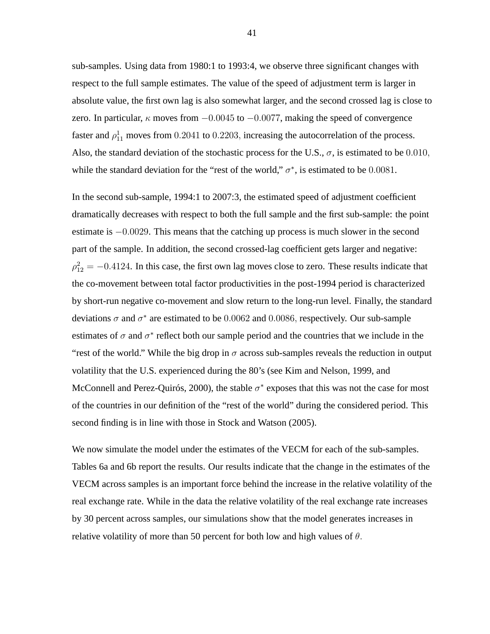sub-samples. Using data from 1980:1 to 1993:4, we observe three significant changes with respect to the full sample estimates. The value of the speed of adjustment term is larger in absolute value, the first own lag is also somewhat larger, and the second crossed lag is close to zero. In particular,  $\kappa$  moves from  $-0.0045$  to  $-0.0077$ , making the speed of convergence faster and  $\rho_{11}^1$  moves from 0.2041 to 0.2203, increasing the autocorrelation of the process. Also, the standard deviation of the stochastic process for the U.S.,  $\sigma$ , is estimated to be 0.010, while the standard deviation for the "rest of the world,"  $\sigma^*$ , is estimated to be 0.0081.

In the second sub-sample, 1994:1 to 2007:3, the estimated speed of adjustment coefficient dramatically decreases with respect to both the full sample and the first sub-sample: the point estimate is  $-0.0029$ . This means that the catching up process is much slower in the second part of the sample. In addition, the second crossed-lag coefficient gets larger and negative:  $\rho_{12}^2 = -0.4124$ . In this case, the first own lag moves close to zero. These results indicate that the co-movement between total factor productivities in the post-1994 period is characterized by short-run negative co-movement and slow return to the long-run level. Finally, the standard deviations  $\sigma$  and  $\sigma^*$  are estimated to be 0.0062 and 0.0086, respectively. Our sub-sample estimates of  $\sigma$  and  $\sigma^*$  reflect both our sample period and the countries that we include in the "rest of the world." While the big drop in  $\sigma$  across sub-samples reveals the reduction in output volatility that the U.S. experienced during the 80's (see Kim and Nelson, 1999, and McConnell and Perez-Quirós, 2000), the stable  $\sigma^*$  exposes that this was not the case for most of the countries in our definition of the "rest of the world" during the considered period. This second finding is in line with those in Stock and Watson (2005).

We now simulate the model under the estimates of the VECM for each of the sub-samples. Tables 6a and 6b report the results. Our results indicate that the change in the estimates of the VECM across samples is an important force behind the increase in the relative volatility of the real exchange rate. While in the data the relative volatility of the real exchange rate increases by 30 percent across samples, our simulations show that the model generates increases in relative volatility of more than 50 percent for both low and high values of  $\theta$ .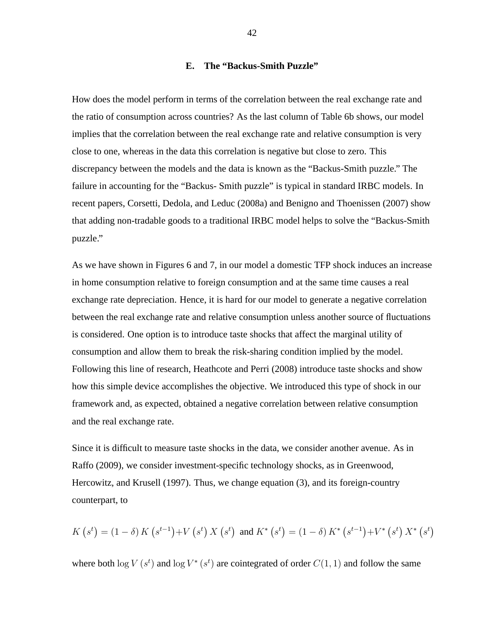# **E. The "Backus-Smith Puzzle"**

How does the model perform in terms of the correlation between the real exchange rate and the ratio of consumption across countries? As the last column of Table 6b shows, our model implies that the correlation between the real exchange rate and relative consumption is very close to one, whereas in the data this correlation is negative but close to zero. This discrepancy between the models and the data is known as the "Backus-Smith puzzle." The failure in accounting for the "Backus- Smith puzzle" is typical in standard IRBC models. In recent papers, Corsetti, Dedola, and Leduc (2008a) and Benigno and Thoenissen (2007) show that adding non-tradable goods to a traditional IRBC model helps to solve the "Backus-Smith puzzle."

As we have shown in Figures 6 and 7, in our model a domestic TFP shock induces an increase in home consumption relative to foreign consumption and at the same time causes a real exchange rate depreciation. Hence, it is hard for our model to generate a negative correlation between the real exchange rate and relative consumption unless another source of fluctuations is considered. One option is to introduce taste shocks that affect the marginal utility of consumption and allow them to break the risk-sharing condition implied by the model. Following this line of research, Heathcote and Perri (2008) introduce taste shocks and show how this simple device accomplishes the objective. We introduced this type of shock in our framework and, as expected, obtained a negative correlation between relative consumption and the real exchange rate.

Since it is difficult to measure taste shocks in the data, we consider another avenue. As in Raffo (2009), we consider investment-specific technology shocks, as in Greenwood, Hercowitz, and Krusell (1997). Thus, we change equation (3), and its foreign-country counterpart, to

$$
K(s^t) = (1 - \delta) K(s^{t-1}) + V(s^t) X(s^t) \text{ and } K^*(s^t) = (1 - \delta) K^* (s^{t-1}) + V^* (s^t) X^* (s^t)
$$

where both  $\log V(s^t)$  and  $\log V^*(s^t)$  are cointegrated of order  $C(1, 1)$  and follow the same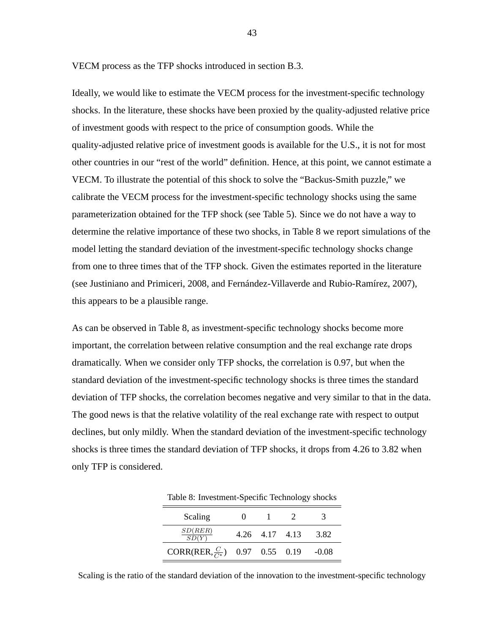VECM process as the TFP shocks introduced in section B.3.

Ideally, we would like to estimate the VECM process for the investment-specific technology shocks. In the literature, these shocks have been proxied by the quality-adjusted relative price of investment goods with respect to the price of consumption goods. While the quality-adjusted relative price of investment goods is available for the U.S., it is not for most other countries in our "rest of the world" definition. Hence, at this point, we cannot estimate a VECM. To illustrate the potential of this shock to solve the "Backus-Smith puzzle," we calibrate the VECM process for the investment-specific technology shocks using the same parameterization obtained for the TFP shock (see Table 5). Since we do not have a way to determine the relative importance of these two shocks, in Table 8 we report simulations of the model letting the standard deviation of the investment-specific technology shocks change from one to three times that of the TFP shock. Given the estimates reported in the literature (see Justiniano and Primiceri, 2008, and Fernández-Villaverde and Rubio-Ramírez, 2007), this appears to be a plausible range.

As can be observed in Table 8, as investment-specific technology shocks become more important, the correlation between relative consumption and the real exchange rate drops dramatically. When we consider only TFP shocks, the correlation is 0.97, but when the standard deviation of the investment-specific technology shocks is three times the standard deviation of TFP shocks, the correlation becomes negative and very similar to that in the data. The good news is that the relative volatility of the real exchange rate with respect to output declines, but only mildly. When the standard deviation of the investment-specific technology shocks is three times the standard deviation of TFP shocks, it drops from 4.26 to 3.82 when only TFP is considered.

| Scaling                                   |                |         |
|-------------------------------------------|----------------|---------|
| $\frac{SD(RER)}{SD(Y)}$                   | 4.26 4.17 4.13 | 3.82    |
| CORR(RER, $\frac{C}{C*}$ ) 0.97 0.55 0.19 |                | $-0.08$ |

Table 8: Investment-Specific Technology shocks

Scaling is the ratio of the standard deviation of the innovation to the investment-specific technology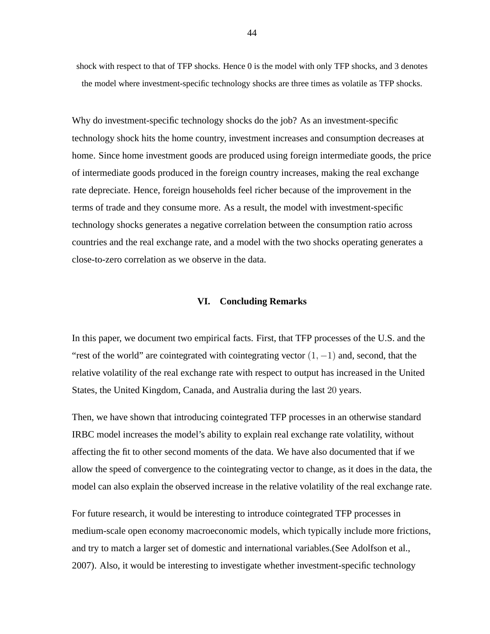shock with respect to that of TFP shocks. Hence 0 is the model with only TFP shocks, and 3 denotes the model where investment-specific technology shocks are three times as volatile as TFP shocks.

Why do investment-specific technology shocks do the job? As an investment-specific technology shock hits the home country, investment increases and consumption decreases at home. Since home investment goods are produced using foreign intermediate goods, the price of intermediate goods produced in the foreign country increases, making the real exchange rate depreciate. Hence, foreign households feel richer because of the improvement in the terms of trade and they consume more. As a result, the model with investment-specific technology shocks generates a negative correlation between the consumption ratio across countries and the real exchange rate, and a model with the two shocks operating generates a close-to-zero correlation as we observe in the data.

#### **VI. Concluding Remarks**

In this paper, we document two empirical facts. First, that TFP processes of the U.S. and the "rest of the world" are cointegrated with cointegrating vector  $(1, -1)$  and, second, that the relative volatility of the real exchange rate with respect to output has increased in the United States, the United Kingdom, Canada, and Australia during the last 20 years.

Then, we have shown that introducing cointegrated TFP processes in an otherwise standard IRBC model increases the model's ability to explain real exchange rate volatility, without affecting the fit to other second moments of the data. We have also documented that if we allow the speed of convergence to the cointegrating vector to change, as it does in the data, the model can also explain the observed increase in the relative volatility of the real exchange rate.

For future research, it would be interesting to introduce cointegrated TFP processes in medium-scale open economy macroeconomic models, which typically include more frictions, and try to match a larger set of domestic and international variables.(See Adolfson et al., 2007). Also, it would be interesting to investigate whether investment-specific technology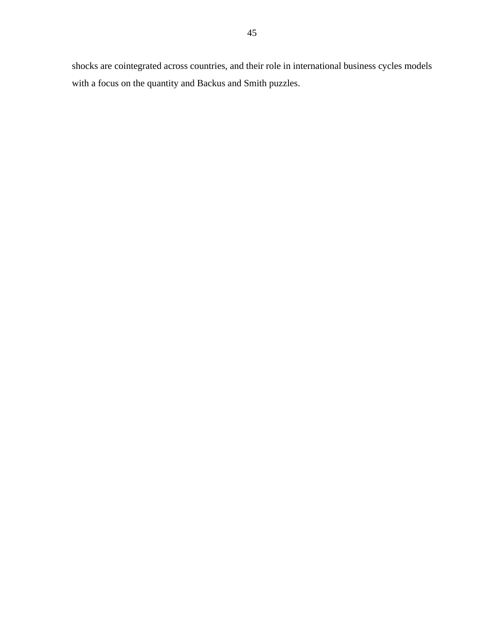shocks are cointegrated across countries, and their role in international business cycles models with a focus on the quantity and Backus and Smith puzzles.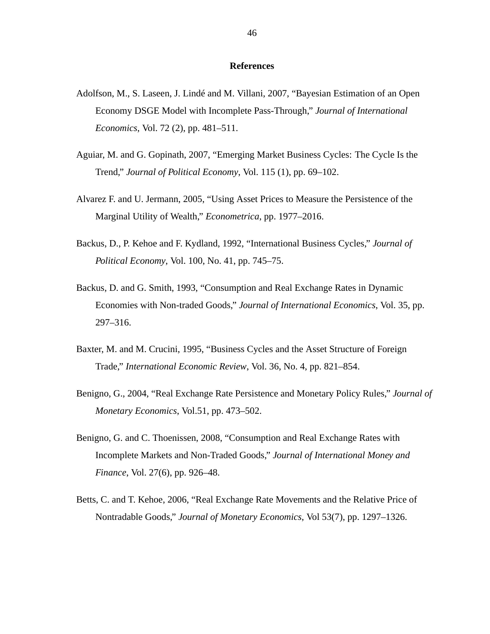# **References**

- Adolfson, M., S. Laseen, J. Lindé and M. Villani, 2007, "Bayesian Estimation of an Open Economy DSGE Model with Incomplete Pass-Through," *Journal of International Economics*, Vol. 72 (2), pp. 481–511.
- Aguiar, M. and G. Gopinath, 2007, "Emerging Market Business Cycles: The Cycle Is the Trend," *Journal of Political Economy*, Vol. 115 (1), pp. 69–102.
- Alvarez F. and U. Jermann, 2005, "Using Asset Prices to Measure the Persistence of the Marginal Utility of Wealth," *Econometrica*, pp. 1977–2016.
- Backus, D., P. Kehoe and F. Kydland, 1992, "International Business Cycles," *Journal of Political Economy*, Vol. 100, No. 41, pp. 745–75.
- Backus, D. and G. Smith, 1993, "Consumption and Real Exchange Rates in Dynamic Economies with Non-traded Goods," *Journal of International Economics*, Vol. 35, pp. 297–316.
- Baxter, M. and M. Crucini, 1995, "Business Cycles and the Asset Structure of Foreign Trade," *International Economic Review*, Vol. 36, No. 4, pp. 821–854.
- Benigno, G., 2004, "Real Exchange Rate Persistence and Monetary Policy Rules," *Journal of Monetary Economics*, Vol.51, pp. 473–502.
- Benigno, G. and C. Thoenissen, 2008, "Consumption and Real Exchange Rates with Incomplete Markets and Non-Traded Goods," *Journal of International Money and Finance*, Vol. 27(6), pp. 926–48.
- Betts, C. and T. Kehoe, 2006, "Real Exchange Rate Movements and the Relative Price of Nontradable Goods," *Journal of Monetary Economics*, Vol 53(7), pp. 1297–1326.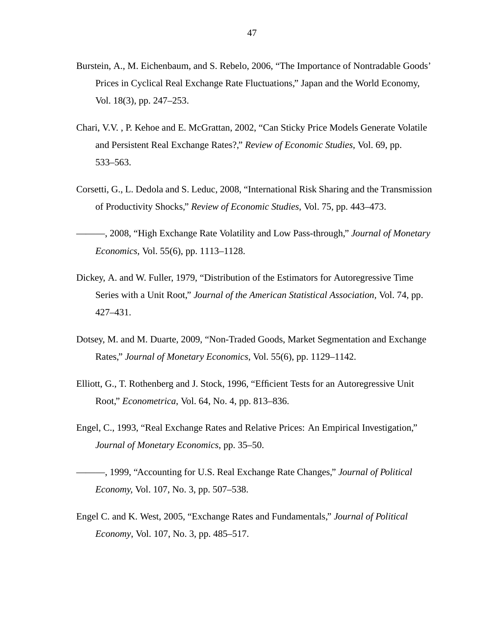- Burstein, A., M. Eichenbaum, and S. Rebelo, 2006, "The Importance of Nontradable Goods' Prices in Cyclical Real Exchange Rate Fluctuations," Japan and the World Economy, Vol. 18(3), pp. 247–253.
- Chari, V.V. , P. Kehoe and E. McGrattan, 2002, "Can Sticky Price Models Generate Volatile and Persistent Real Exchange Rates?," *Review of Economic Studies*, Vol. 69, pp. 533–563.
- Corsetti, G., L. Dedola and S. Leduc, 2008, "International Risk Sharing and the Transmission of Productivity Shocks," *Review of Economic Studies*, Vol. 75, pp. 443–473.

———, 2008, "High Exchange Rate Volatility and Low Pass-through," *Journal of Monetary Economics*, Vol. 55(6), pp. 1113–1128.

- Dickey, A. and W. Fuller, 1979, "Distribution of the Estimators for Autoregressive Time Series with a Unit Root," *Journal of the American Statistical Association,* Vol. 74, pp. 427–431.
- Dotsey, M. and M. Duarte, 2009, "Non-Traded Goods, Market Segmentation and Exchange Rates," *Journal of Monetary Economics*, Vol. 55(6), pp. 1129–1142.
- Elliott, G., T. Rothenberg and J. Stock, 1996, "Efficient Tests for an Autoregressive Unit Root," *Econometrica*, Vol. 64, No. 4, pp. 813–836.
- Engel, C., 1993, "Real Exchange Rates and Relative Prices: An Empirical Investigation," *Journal of Monetary Economics*, pp. 35–50.
- ———, 1999, "Accounting for U.S. Real Exchange Rate Changes," *Journal of Political Economy,* Vol. 107, No. 3, pp. 507–538.
- Engel C. and K. West, 2005, "Exchange Rates and Fundamentals," *Journal of Political Economy*, Vol. 107, No. 3, pp. 485–517.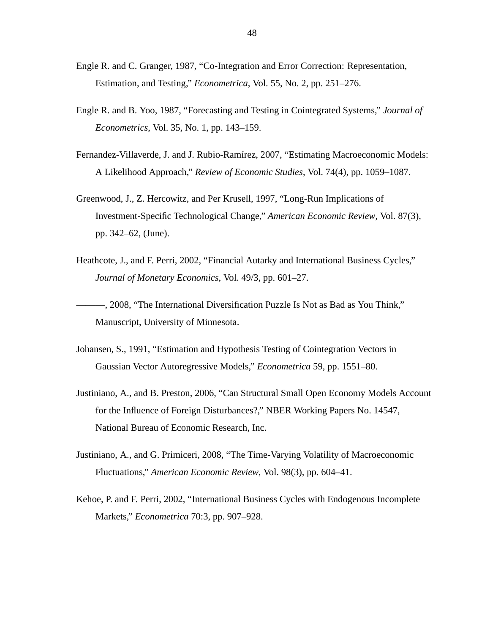- Engle R. and C. Granger, 1987, "Co-Integration and Error Correction: Representation, Estimation, and Testing," *Econometrica*, Vol. 55, No. 2, pp. 251–276.
- Engle R. and B. Yoo, 1987, "Forecasting and Testing in Cointegrated Systems," *Journal of Econometrics*, Vol. 35, No. 1, pp. 143–159.
- Fernandez-Villaverde, J. and J. Rubio-Ramírez, 2007, "Estimating Macroeconomic Models: A Likelihood Approach," *Review of Economic Studies*, Vol. 74(4), pp. 1059–1087.
- Greenwood, J., Z. Hercowitz, and Per Krusell, 1997, "Long-Run Implications of Investment-Specific Technological Change," *American Economic Review*, Vol. 87(3), pp. 342–62, (June).
- Heathcote, J., and F. Perri, 2002, "Financial Autarky and International Business Cycles," *Journal of Monetary Economics*, Vol. 49/3, pp. 601–27.

———, 2008, "The International Diversification Puzzle Is Not as Bad as You Think," Manuscript, University of Minnesota.

- Johansen, S., 1991, "Estimation and Hypothesis Testing of Cointegration Vectors in Gaussian Vector Autoregressive Models," *Econometrica* 59, pp. 1551–80.
- Justiniano, A., and B. Preston, 2006, "Can Structural Small Open Economy Models Account for the Influence of Foreign Disturbances?," NBER Working Papers No. 14547, National Bureau of Economic Research, Inc.
- Justiniano, A., and G. Primiceri, 2008, "The Time-Varying Volatility of Macroeconomic Fluctuations," *American Economic Review*, Vol. 98(3), pp. 604–41.
- Kehoe, P. and F. Perri, 2002, "International Business Cycles with Endogenous Incomplete Markets," *Econometrica* 70:3, pp. 907–928.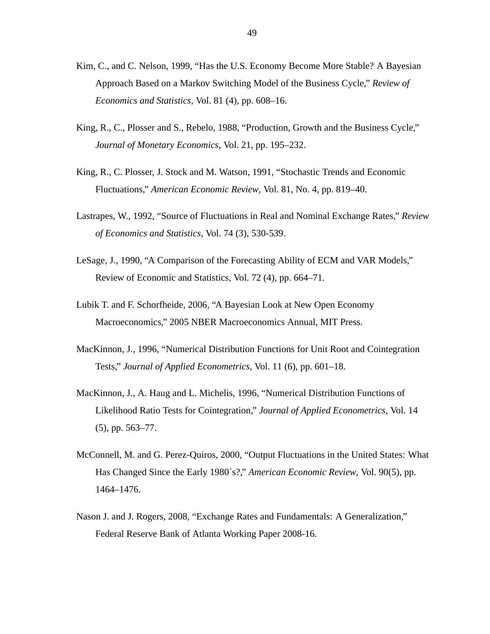- Kim, C., and C. Nelson, 1999, "Has the U.S. Economy Become More Stable? A Bayesian Approach Based on a Markov Switching Model of the Business Cycle," *Review of Economics and Statistics*, Vol. 81 (4), pp. 608–16.
- King, R., C., Plosser and S., Rebelo, 1988, "Production, Growth and the Business Cycle," *Journal of Monetary Economics*, Vol. 21, pp. 195–232.
- King, R., C. Plosser, J. Stock and M. Watson, 1991, "Stochastic Trends and Economic Fluctuations," *American Economic Review*, Vol. 81, No. 4, pp. 819–40.
- Lastrapes, W., 1992, "Source of Fluctuations in Real and Nominal Exchange Rates," *Review of Economics and Statistics*, Vol. 74 (3), 530-539.
- LeSage, J., 1990, "A Comparison of the Forecasting Ability of ECM and VAR Models," Review of Economic and Statistics, Vol. 72 (4), pp. 664–71.
- Lubik T. and F. Schorfheide, 2006, "A Bayesian Look at New Open Economy Macroeconomics," 2005 NBER Macroeconomics Annual, MIT Press.
- MacKinnon, J., 1996, "Numerical Distribution Functions for Unit Root and Cointegration Tests," *Journal of Applied Econometrics*, Vol. 11 (6), pp. 601–18.
- MacKinnon, J., A. Haug and L. Michelis, 1996, "Numerical Distribution Functions of Likelihood Ratio Tests for Cointegration," *Journal of Applied Econometrics*, Vol. 14 (5), pp. 563–77.
- McConnell, M. and G. Perez-Quiros, 2000, "Output Fluctuations in the United States: What Has Changed Since the Early 1980´s?," *American Economic Review*, Vol. 90(5), pp. 1464–1476.
- Nason J. and J. Rogers, 2008, "Exchange Rates and Fundamentals: A Generalization," Federal Reserve Bank of Atlanta Working Paper 2008-16.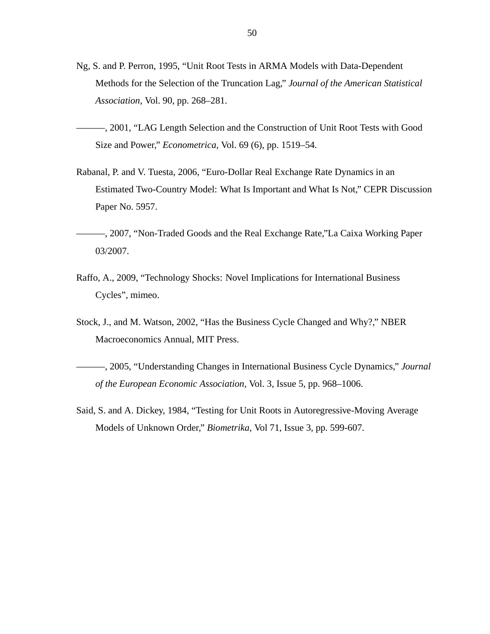- Ng, S. and P. Perron, 1995, "Unit Root Tests in ARMA Models with Data-Dependent Methods for the Selection of the Truncation Lag," *Journal of the American Statistical Association*, Vol. 90, pp. 268–281.
- ———, 2001, "LAG Length Selection and the Construction of Unit Root Tests with Good Size and Power," *Econometrica,* Vol. 69 (6), pp. 1519–54.
- Rabanal, P. and V. Tuesta, 2006, "Euro-Dollar Real Exchange Rate Dynamics in an Estimated Two-Country Model: What Is Important and What Is Not," CEPR Discussion Paper No. 5957.
- ———, 2007, "Non-Traded Goods and the Real Exchange Rate,"La Caixa Working Paper 03/2007.
- Raffo, A., 2009, "Technology Shocks: Novel Implications for International Business Cycles", mimeo.
- Stock, J., and M. Watson, 2002, "Has the Business Cycle Changed and Why?," NBER Macroeconomics Annual, MIT Press.
- ———, 2005, "Understanding Changes in International Business Cycle Dynamics," *Journal of the European Economic Association*, Vol. 3, Issue 5, pp. 968–1006.
- Said, S. and A. Dickey, 1984, "Testing for Unit Roots in Autoregressive-Moving Average Models of Unknown Order," *Biometrika*, Vol 71, Issue 3, pp. 599-607.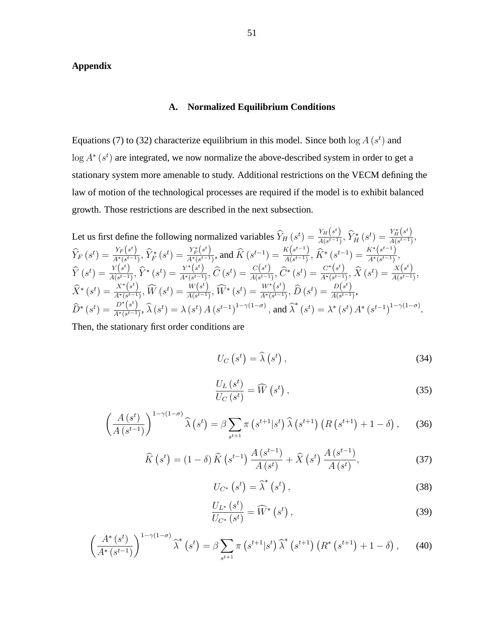# **Appendix**

# **A. Normalized Equilibrium Conditions**

Equations (7) to (32) characterize equilibrium in this model. Since both  $\log A(s^t)$  and  $\log A^*(s^t)$  are integrated, we now normalize the above-described system in order to get a stationary system more amenable to study. Additional restrictions on the VECM defining the law of motion of the technological processes are required if the model is to exhibit balanced growth. Those restrictions are described in the next subsection.

Let us first define the following normalized variables 
$$
\hat{Y}_H(s^t) = \frac{Y_H(s^t)}{A(s^{t-1})}, \hat{Y}_H^*(s^t) = \frac{Y_H^*(s^t)}{A(s^{t-1})}, \hat{Y}_H^*(s^t) = \frac{Y_H^*(s^t)}{A(s^{t-1})}, \hat{Y}_H^*(s^t) = \frac{Y_F(s^t)}{A^*(s^{t-1})}, \hat{Y}_F^*(s^t) = \frac{Y_F^*(s^t)}{A^*(s^{t-1})}, \text{ and } \hat{K}(s^{t-1}) = \frac{K(s^{t-1})}{A(s^{t-1})}, \hat{K}^*(s^{t-1}) = \frac{K^*(s^{t-1})}{A^*(s^{t-1})}, \hat{Y}_F^*(s^t) = \frac{Y^*(s^t)}{A^*(s^{t-1})}, \hat{C}(s^t) = \frac{C(s^t)}{A(s^{t-1})}, \hat{C}^*(s^t) = \frac{C^*(s^t)}{A^*(s^{t-1})}, \hat{X}(s^t) = \frac{X(s^t)}{A(s^{t-1})}, \hat{X}_F^*(s^t) = \frac{X^*(s^t)}{A^*(s^{t-1})}, \hat{W}_F^*(s^t) = \frac{W^*(s^t)}{A^*(s^{t-1})}, \hat{D}(s^t) = \frac{D(s^t)}{A(s^{t-1})}, \hat{D}^*(s^t) = \frac{D(s^t)}{A^*(s^{t-1})}, \hat{D}^*(s^t) = \frac{D^*(s^t)}{A^*(s^{t-1})}, \hat{X}_F^*(s^t) = \frac{D^*(s^t)}{A^*(s^{t-1})}, \hat{X}_F^*(s^t) = \lambda^*(s^t) \cdot A^*(s^{t-1})^{1-\gamma(1-\sigma)}.
$$

Then, the stationary first order conditions are

$$
U_C\left(s^t\right) = \widehat{\lambda}\left(s^t\right),\tag{34}
$$

$$
\frac{U_L(s^t)}{U_C(s^t)} = \widehat{W}\left(s^t\right),\tag{35}
$$

$$
\left(\frac{A\left(s^{t}\right)}{A\left(s^{t-1}\right)}\right)^{1-\gamma(1-\sigma)}\widehat{\lambda}\left(s^{t}\right) = \beta \sum_{s^{t+1}} \pi\left(s^{t+1}|s^{t}\right) \widehat{\lambda}\left(s^{t+1}\right)\left(R\left(s^{t+1}\right) + 1 - \delta\right),\tag{36}
$$

$$
\widehat{K}\left(s^{t}\right) = (1-\delta)\,\widehat{K}\left(s^{t-1}\right)\frac{A\left(s^{t-1}\right)}{A\left(s^{t}\right)} + \widehat{X}\left(s^{t}\right)\frac{A\left(s^{t-1}\right)}{A\left(s^{t}\right)},\tag{37}
$$

$$
U_{C^*}\left(s^t\right) = \widehat{\lambda}^*\left(s^t\right),\tag{38}
$$

$$
\frac{U_{L^*}\left(s^t\right)}{U_{C^*}\left(s^t\right)} = \widehat{W}^*\left(s^t\right),\tag{39}
$$

$$
\left(\frac{A^*(s^t)}{A^*(s^{t-1})}\right)^{1-\gamma(1-\sigma)}\widehat{\lambda}^*\left(s^t\right)=\beta\sum_{s^{t+1}}\pi\left(s^{t+1}|s^t\right)\widehat{\lambda}^*\left(s^{t+1}\right)\left(R^*\left(s^{t+1}\right)+1-\delta\right),\qquad(40)
$$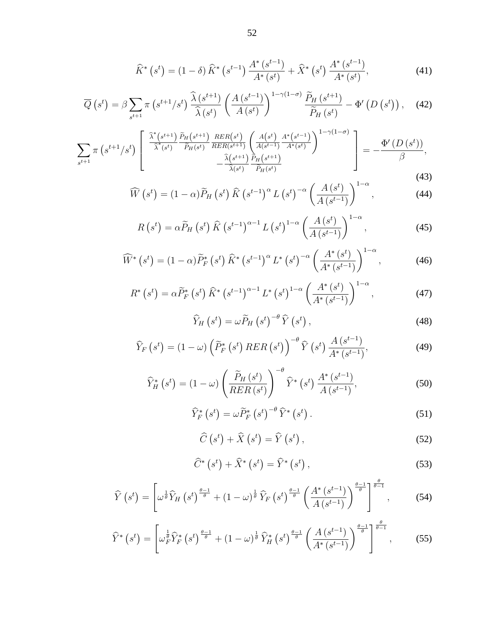$$
\widehat{K}^* \left( s^t \right) = \left( 1 - \delta \right) \widehat{K}^* \left( s^{t-1} \right) \frac{A^* \left( s^{t-1} \right)}{A^* \left( s^t \right)} + \widehat{X}^* \left( s^t \right) \frac{A^* \left( s^{t-1} \right)}{A^* \left( s^t \right)},\tag{41}
$$

$$
\overline{Q}\left(s^{t}\right) = \beta \sum_{s^{t+1}} \pi\left(s^{t+1}/s^{t}\right) \frac{\widehat{\lambda}\left(s^{t+1}\right)}{\widehat{\lambda}\left(s^{t}\right)} \left(\frac{A\left(s^{t-1}\right)}{A\left(s^{t}\right)}\right)^{1-\gamma(1-\sigma)} \frac{\widetilde{P}_{H}\left(s^{t+1}\right)}{\widetilde{P}_{H}\left(s^{t}\right)} - \Phi'\left(D\left(s^{t}\right)\right),\tag{42}
$$

$$
\sum_{s^{t+1}} \pi \left( s^{t+1} / s^t \right) \left[ \frac{\frac{\widehat{\lambda}^*(s^{t+1})}{\widehat{\lambda}^*(s^t)} \frac{\widetilde{P}_H(s^{t+1})}{\widetilde{P}_H(s^t)} \frac{RER(s^t)}{RER(s^{t+1})} \left( \frac{A(s^t)}{A(s^{t-1})} \frac{A^*(s^{t-1})}{A^*(s^t)} \right)^{1-\gamma(1-\sigma)} -\frac{\Phi'(D(s^t))}{\beta} - \frac{\widehat{\lambda}(s^{t+1})}{\widehat{\lambda}(s^t)} \frac{\widetilde{P}_H(s^{t+1})}{\widetilde{P}_H(s^t)} \right] = -\frac{\Phi'(D(s^t))}{\beta}, \tag{43}
$$

$$
\widehat{W}\left(s^{t}\right) = (1-\alpha)\widetilde{P}_{H}\left(s^{t}\right)\widehat{K}\left(s^{t-1}\right)^{\alpha}L\left(s^{t}\right)^{-\alpha}\left(\frac{A\left(s^{t}\right)}{A\left(s^{t-1}\right)}\right)^{1-\alpha},\tag{44}
$$

$$
R\left(s^{t}\right) = \alpha \widetilde{P}_{H}\left(s^{t}\right) \widehat{K}\left(s^{t-1}\right)^{\alpha-1} L\left(s^{t}\right)^{1-\alpha} \left(\frac{A\left(s^{t}\right)}{A\left(s^{t-1}\right)}\right)^{1-\alpha},\tag{45}
$$

$$
\widehat{W}^*\left(s^t\right) = (1-\alpha)\widetilde{P}_F^*\left(s^t\right)\widehat{K}^*\left(s^{t-1}\right)^{\alpha}L^*\left(s^t\right)^{-\alpha}\left(\frac{A^*\left(s^t\right)}{A^*\left(s^{t-1}\right)}\right)^{1-\alpha},\tag{46}
$$

$$
R^*\left(s^t\right) = \alpha \widetilde{P}_F^*\left(s^t\right) \widehat{K}^*\left(s^{t-1}\right)^{\alpha-1} L^*\left(s^t\right)^{1-\alpha} \left(\frac{A^*\left(s^t\right)}{A^*\left(s^{t-1}\right)}\right)^{1-\alpha},\tag{47}
$$

$$
\widehat{Y}_H\left(s^t\right) = \omega \widetilde{P}_H\left(s^t\right)^{-\theta} \widehat{Y}\left(s^t\right),\tag{48}
$$

$$
\widehat{Y}_F\left(s^t\right) = \left(1 - \omega\right) \left(\widetilde{P}_F^*\left(s^t\right) RER\left(s^t\right)\right)^{-\theta} \widehat{Y}\left(s^t\right) \frac{A\left(s^{t-1}\right)}{A^*\left(s^{t-1}\right)},\tag{49}
$$

$$
\widehat{Y}_{H}^{*}\left(s^{t}\right) = \left(1 - \omega\right) \left(\frac{\widetilde{P}_{H}\left(s^{t}\right)}{RER\left(s^{t}\right)}\right)^{-\theta} \widehat{Y}^{*}\left(s^{t}\right) \frac{A^{*}\left(s^{t-1}\right)}{A\left(s^{t-1}\right)},\tag{50}
$$

$$
\widehat{Y}_F^* \left( s^t \right) = \omega \widetilde{P}_F^* \left( s^t \right)^{-\theta} \widehat{Y}^* \left( s^t \right). \tag{51}
$$

$$
\widehat{C}\left(s^{t}\right) + \widehat{X}\left(s^{t}\right) = \widehat{Y}\left(s^{t}\right),\tag{52}
$$

$$
\widehat{C}^*\left(s^t\right) + \widehat{X}^*\left(s^t\right) = \widehat{Y}^*\left(s^t\right),\tag{53}
$$

$$
\widehat{Y}\left(s^{t}\right) = \left[\omega^{\frac{1}{\theta}}\widehat{Y}_{H}\left(s^{t}\right)^{\frac{\theta-1}{\theta}} + \left(1-\omega\right)^{\frac{1}{\theta}}\widehat{Y}_{F}\left(s^{t}\right)^{\frac{\theta-1}{\theta}}\left(\frac{A^{*}\left(s^{t-1}\right)}{A\left(s^{t-1}\right)}\right)^{\frac{\theta-1}{\theta}}\right]^{\frac{\theta}{\theta-1}},\tag{54}
$$

$$
\widehat{Y}^*\left(s^t\right) = \left[\omega_F^{\frac{1}{\theta}}\widehat{Y}_F^*\left(s^t\right)^{\frac{\theta-1}{\theta}} + \left(1-\omega\right)^{\frac{1}{\theta}}\widehat{Y}_H^*\left(s^t\right)^{\frac{\theta-1}{\theta}} \left(\frac{A\left(s^{t-1}\right)}{A^*\left(s^{t-1}\right)}\right)^{\frac{\theta-1}{\theta}}\right]^{\frac{\theta}{\theta-1}},\tag{55}
$$